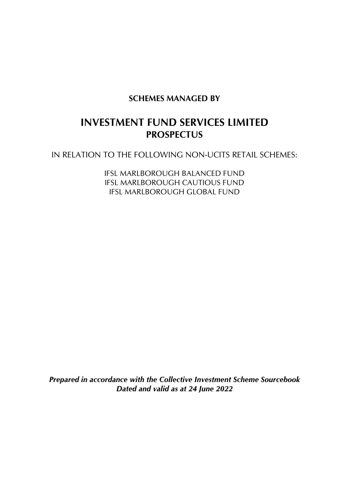# **SCHEMES MANAGED BY**

# **INVESTMENT FUND SERVICES LIMITED PROSPECTUS**

IN RELATION TO THE FOLLOWING NON-UCITS RETAIL SCHEMES:

IFSL MARLBOROUGH BALANCED FUND IFSL MARLBOROUGH CAUTIOUS FUND IFSL MARLBOROUGH GLOBAL FUND

*Prepared in accordance with the Collective Investment Scheme Sourcebook Dated and valid as at 24 June 2022*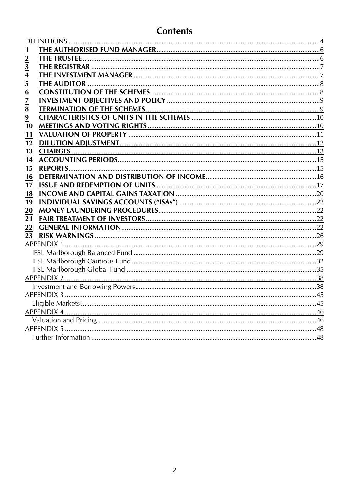# **Contents**

| $\overline{2}$                            |  |
|-------------------------------------------|--|
|                                           |  |
|                                           |  |
| $\frac{3}{4}$ $\frac{4}{5}$ $\frac{6}{6}$ |  |
|                                           |  |
| 7                                         |  |
| 8                                         |  |
| $\overline{9}$                            |  |
| 10                                        |  |
| 11                                        |  |
| 12                                        |  |
| 13                                        |  |
| 14                                        |  |
| 15<br><b>REPORTS.</b>                     |  |
| 16                                        |  |
| 17                                        |  |
| 18                                        |  |
| 19                                        |  |
| 20                                        |  |
| 21                                        |  |
| 22                                        |  |
| 23                                        |  |
|                                           |  |
|                                           |  |
|                                           |  |
|                                           |  |
|                                           |  |
|                                           |  |
|                                           |  |
|                                           |  |
|                                           |  |
|                                           |  |
|                                           |  |
|                                           |  |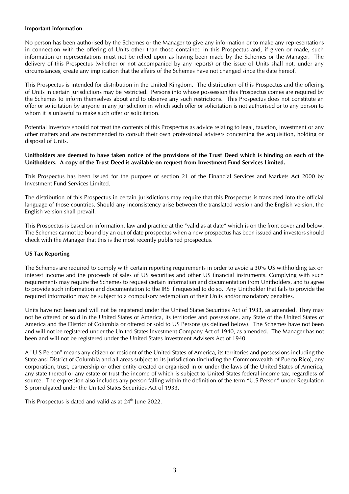#### **Important information**

No person has been authorised by the Schemes or the Manager to give any information or to make any representations in connection with the offering of Units other than those contained in this Prospectus and, if given or made, such information or representations must not be relied upon as having been made by the Schemes or the Manager. The delivery of this Prospectus (whether or not accompanied by any reports) or the issue of Units shall not, under any circumstances, create any implication that the affairs of the Schemes have not changed since the date hereof.

This Prospectus is intended for distribution in the United Kingdom. The distribution of this Prospectus and the offering of Units in certain jurisdictions may be restricted. Persons into whose possession this Prospectus comes are required by the Schemes to inform themselves about and to observe any such restrictions. This Prospectus does not constitute an offer or solicitation by anyone in any jurisdiction in which such offer or solicitation is not authorised or to any person to whom it is unlawful to make such offer or solicitation.

Potential investors should not treat the contents of this Prospectus as advice relating to legal, taxation, investment or any other matters and are recommended to consult their own professional advisers concerning the acquisition, holding or disposal of Units.

#### **Unitholders are deemed to have taken notice of the provisions of the Trust Deed which is binding on each of the Unitholders. A copy of the Trust Deed is available on request from Investment Fund Services Limited.**

This Prospectus has been issued for the purpose of section 21 of the Financial Services and Markets Act 2000 by Investment Fund Services Limited.

The distribution of this Prospectus in certain jurisdictions may require that this Prospectus is translated into the official language of those countries. Should any inconsistency arise between the translated version and the English version, the English version shall prevail.

This Prospectus is based on information, law and practice at the "valid as at date" which is on the front cover and below. The Schemes cannot be bound by an out of date prospectus when a new prospectus has been issued and investors should check with the Manager that this is the most recently published prospectus.

#### **US Tax Reporting**

The Schemes are required to comply with certain reporting requirements in order to avoid a 30% US withholding tax on interest income and the proceeds of sales of US securities and other US financial instruments. Complying with such requirements may require the Schemes to request certain information and documentation from Unitholders, and to agree to provide such information and documentation to the IRS if requested to do so. Any Unitholder that fails to provide the required information may be subject to a compulsory redemption of their Units and/or mandatory penalties.

Units have not been and will not be registered under the United States Securities Act of 1933, as amended. They may not be offered or sold in the United States of America, its territories and possessions, any State of the United States of America and the District of Columbia or offered or sold to US Persons (as defined below). The Schemes have not been and will not be registered under the United States Investment Company Act of 1940, as amended. The Manager has not been and will not be registered under the United States Investment Advisers Act of 1940.

A "U.S Person" means any citizen or resident of the United States of America, its territories and possessions including the State and District of Columbia and all areas subject to its jurisdiction (including the Commonwealth of Puerto Rico), any corporation, trust, partnership or other entity created or organised in or under the laws of the United States of America, any state thereof or any estate or trust the income of which is subject to United States federal income tax, regardless of source. The expression also includes any person falling within the definition of the term "U.S Person" under Regulation S promulgated under the United States Securities Act of 1933.

This Prospectus is dated and valid as at 24<sup>th</sup> June 2022.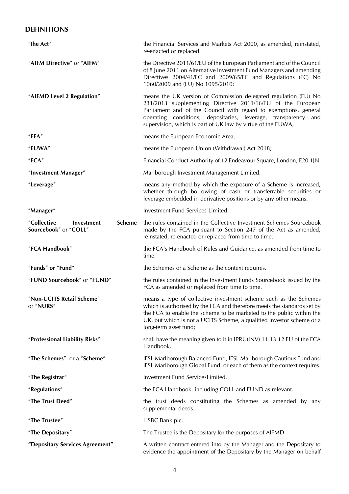# <span id="page-3-0"></span>**DEFINITIONS**

| "the Act"                                                    | the Financial Services and Markets Act 2000, as amended, reinstated,<br>re-enacted or replaced                                                                                                                                                                                                                                         |
|--------------------------------------------------------------|----------------------------------------------------------------------------------------------------------------------------------------------------------------------------------------------------------------------------------------------------------------------------------------------------------------------------------------|
| "AIFM Directive" or "AIFM"                                   | the Directive 2011/61/EU of the European Parliament and of the Council<br>of 8 June 2011 on Alternative Investment Fund Managers and amending<br>Directives 2004/41/EC and 2009/65/EC and Regulations (EC) No<br>1060/2009 and (EU) No 1095/2010;                                                                                      |
| "AIFMD Level 2 Regulation"                                   | means the UK version of Commission delegated regulation (EU) No<br>231/2013 supplementing Directive 2011/16/EU of the European<br>Parliament and of the Council with regard to exemptions, general<br>operating conditions, depositaries, leverage, transparency<br>and<br>supervision, which is part of UK law by virtue of the EUWA; |
| "EEA"                                                        | means the European Economic Area;                                                                                                                                                                                                                                                                                                      |
| "EUWA"                                                       | means the European Union (Withdrawal) Act 2018;                                                                                                                                                                                                                                                                                        |
| "FCA"                                                        | Financial Conduct Authority of 12 Endeavour Square, London, E20 1JN.                                                                                                                                                                                                                                                                   |
| "Investment Manager"                                         | Marlborough Investment Management Limited.                                                                                                                                                                                                                                                                                             |
| "Leverage"                                                   | means any method by which the exposure of a Scheme is increased,<br>whether through borrowing of cash or transferrable securities or<br>leverage embedded in derivative positions or by any other means.                                                                                                                               |
| "Manager"                                                    | Investment Fund Services Limited.                                                                                                                                                                                                                                                                                                      |
| "Collective<br>Scheme<br>Investment<br>Sourcebook" or "COLL" | the rules contained in the Collective Investment Schemes Sourcebook<br>made by the FCA pursuant to Section 247 of the Act as amended,<br>reinstated, re-enacted or replaced from time to time.                                                                                                                                         |
| "FCA Handbook"                                               | the FCA's Handbook of Rules and Guidance, as amended from time to<br>time.                                                                                                                                                                                                                                                             |
| "Funds" or "Fund"                                            | the Schemes or a Scheme as the context requires.                                                                                                                                                                                                                                                                                       |
| "FUND Sourcebook" or "FUND"                                  | the rules contained in the Investment Funds Sourcebook issued by the<br>FCA as amended or replaced from time to time.                                                                                                                                                                                                                  |
| "Non-UCITS Retail Scheme"<br>or "NURS"                       | means a type of collective investment scheme such as the Schemes<br>which is authorised by the FCA and therefore meets the standards set by<br>the FCA to enable the scheme to be marketed to the public within the<br>UK, but which is not a UCITS Scheme, a qualified investor scheme or a<br>long-term asset fund;                  |
| "Professional Liability Risks"                               | shall have the meaning given to it in IPRU(INV) 11.13.12 EU of the FCA<br>Handbook.                                                                                                                                                                                                                                                    |
| "The Schemes" or a "Scheme"                                  | IFSL Marlborough Balanced Fund, IFSL Marlborough Cautious Fund and<br>IFSL Marlborough Global Fund, or each of them as the context requires.                                                                                                                                                                                           |
| "The Registrar"                                              | Investment Fund ServicesLimited.                                                                                                                                                                                                                                                                                                       |
| "Regulations"                                                | the FCA Handbook, including COLL and FUND as relevant.                                                                                                                                                                                                                                                                                 |
| "The Trust Deed"                                             | the trust deeds constituting the Schemes as amended by any<br>supplemental deeds.                                                                                                                                                                                                                                                      |
| "The Trustee"                                                | HSBC Bank plc.                                                                                                                                                                                                                                                                                                                         |
| "The Depositary"                                             | The Trustee is the Depositary for the purposes of AIFMD                                                                                                                                                                                                                                                                                |
| "Depositary Services Agreement"                              | A written contract entered into by the Manager and the Depositary to<br>evidence the appointment of the Depositary by the Manager on behalf                                                                                                                                                                                            |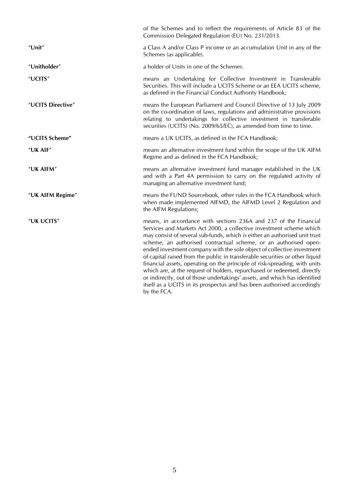|                   | of the Schemes and to reflect the requirements of Article 83 of the<br>Commission Delegated Regulation (EU) No. 231/2013.                                                                                                                                                                                                                                                                                                                                                                                                                                                                                                                                                                                                                                                            |
|-------------------|--------------------------------------------------------------------------------------------------------------------------------------------------------------------------------------------------------------------------------------------------------------------------------------------------------------------------------------------------------------------------------------------------------------------------------------------------------------------------------------------------------------------------------------------------------------------------------------------------------------------------------------------------------------------------------------------------------------------------------------------------------------------------------------|
| "Unit"            | a Class A and/or Class P income or an accumulation Unit in any of the<br>Schemes (as applicable).                                                                                                                                                                                                                                                                                                                                                                                                                                                                                                                                                                                                                                                                                    |
| "Unitholder"      | a holder of Units in one of the Schemes.                                                                                                                                                                                                                                                                                                                                                                                                                                                                                                                                                                                                                                                                                                                                             |
| "UCITS"           | means an Undertaking for Collective Investment in Transferable<br>Securities. This will include a UCITS Scheme or an EEA UCITS scheme,<br>as defined in the Financial Conduct Authority Handbook;                                                                                                                                                                                                                                                                                                                                                                                                                                                                                                                                                                                    |
| "UCITS Directive" | means the European Parliament and Council Directive of 13 July 2009<br>on the co-ordination of laws, regulations and administrative provisions<br>relating to undertakings for collective investment in transferable<br>securities (UCITS) (No. 2009/65/EC), as amended from time to time.                                                                                                                                                                                                                                                                                                                                                                                                                                                                                           |
| "UCITS Scheme"    | means a UK UCITS, as defined in the FCA Handbook;                                                                                                                                                                                                                                                                                                                                                                                                                                                                                                                                                                                                                                                                                                                                    |
| "UK AIF"          | means an alternative investment fund within the scope of the UK AIFM<br>Regime and as defined in the FCA Handbook;                                                                                                                                                                                                                                                                                                                                                                                                                                                                                                                                                                                                                                                                   |
| "UK AIFM"         | means an alternative investment fund manager established in the UK<br>and with a Part 4A permission to carry on the regulated activity of<br>managing an alternative investment fund;                                                                                                                                                                                                                                                                                                                                                                                                                                                                                                                                                                                                |
| "UK AIFM Regime"  | means the FUND Sourcebook, other rules in the FCA Handbook which<br>when made implemented AIFMD, the AIFMD Level 2 Regulation and<br>the AIFM Regulations;                                                                                                                                                                                                                                                                                                                                                                                                                                                                                                                                                                                                                           |
| "UK UCITS"        | means, in accordance with sections 236A and 237 of the Financial<br>Services and Markets Act 2000, a collective investment scheme which<br>may consist of several sub-funds, which is either an authorised unit trust<br>scheme, an authorised contractual scheme, or an authorised open-<br>ended investment company with the sole object of collective investment<br>of capital raised from the public in transferable securities or other liquid<br>financial assets, operating on the principle of risk-spreading, with units<br>which are, at the request of holders, repurchased or redeemed, directly<br>or indirectly, out of those undertakings' assets, and which has identified<br>itself as a UCITS in its prospectus and has been authorised accordingly<br>by the FCA. |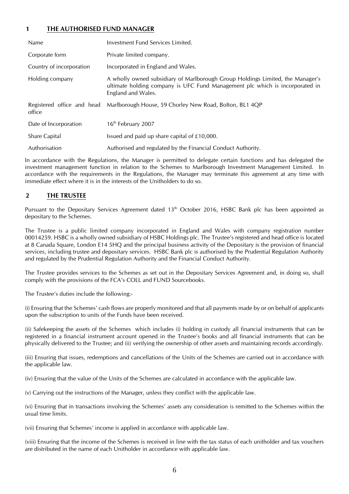## <span id="page-5-0"></span>**1 THE AUTHORISED FUND MANAGER**

| Name                                 | Investment Fund Services Limited.                                                                                                                                                    |
|--------------------------------------|--------------------------------------------------------------------------------------------------------------------------------------------------------------------------------------|
| Corporate form                       | Private limited company.                                                                                                                                                             |
| Country of incorporation             | Incorporated in England and Wales.                                                                                                                                                   |
| Holding company                      | A wholly owned subsidiary of Marlborough Group Holdings Limited, the Manager's<br>ultimate holding company is UFC Fund Management plc which is incorporated in<br>England and Wales. |
| Registered office and head<br>office | Marlborough House, 59 Chorley New Road, Bolton, BL1 4QP                                                                                                                              |
| Date of Incorporation                | 16 <sup>th</sup> February 2007                                                                                                                                                       |
| <b>Share Capital</b>                 | Issued and paid up share capital of £10,000.                                                                                                                                         |
| Authorisation                        | Authorised and regulated by the Financial Conduct Authority.                                                                                                                         |

In accordance with the Regulations, the Manager is permitted to delegate certain functions and has delegated the investment management function in relation to the Schemes to Marlborough Investment Management Limited. In accordance with the requirements in the Regulations, the Manager may terminate this agreement at any time with immediate effect where it is in the interests of the Unitholders to do so.

## <span id="page-5-1"></span>**2 THE TRUSTEE**

Pursuant to the Depositary Services Agreement dated  $13<sup>th</sup>$  October 2016, HSBC Bank plc has been appointed as depositary to the Schemes.

The Trustee is a public limited company incorporated in England and Wales with company registration number 00014259. HSBC is a wholly owned subsidiary of HSBC Holdings plc. The Trustee's registered and head office is located at 8 Canada Square, London E14 5HQ and the principal business activity of the Depositary is the provision of financial services, including trustee and depositary services. HSBC Bank plc is authorised by the Prudential Regulation Authority and regulated by the Prudential Regulation Authority and the Financial Conduct Authority.

The Trustee provides services to the Schemes as set out in the Depositary Services Agreement and, in doing so, shall comply with the provisions of the FCA's COLL and FUND Sourcebooks.

The Trustee's duties include the following:-

(i) Ensuring that the Schemes' cash flows are properly monitored and that all payments made by or on behalf of applicants upon the subscription to units of the Funds have been received.

(ii) Safekeeping the assets of the Schemes which includes (i) holding in custody all financial instruments that can be registered in a financial instrument account opened in the Trustee's books and all financial instruments that can be physically delivered to the Trustee; and (ii) verifying the ownership of other assets and maintaining records accordingly.

(iii) Ensuring that issues, redemptions and cancellations of the Units of the Schemes are carried out in accordance with the applicable law.

(iv) Ensuring that the value of the Units of the Schemes are calculated in accordance with the applicable law.

(v) Carrying out the instructions of the Manager, unless they conflict with the applicable law.

(vi) Ensuring that in transactions involving the Schemes' assets any consideration is remitted to the Schemes within the usual time limits.

(vii) Ensuring that Schemes' income is applied in accordance with applicable law.

(viii) Ensuring that the income of the Schemes is received in line with the tax status of each unitholder and tax vouchers are distributed in the name of each Unitholder in accordance with applicable law.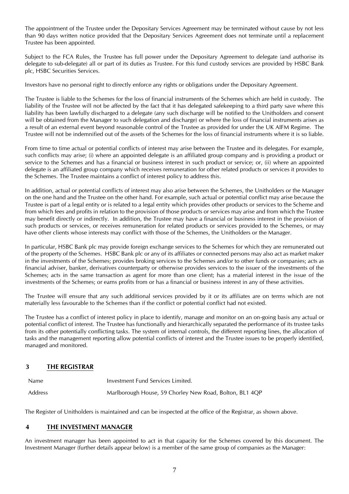The appointment of the Trustee under the Depositary Services Agreement may be terminated without cause by not less than 90 days written notice provided that the Depositary Services Agreement does not terminate until a replacement Trustee has been appointed.

Subject to the FCA Rules, the Trustee has full power under the Depositary Agreement to delegate (and authorise its delegate to sub-delegate) all or part of its duties as Trustee. For this fund custody services are provided by HSBC Bank plc, HSBC Securities Services.

Investors have no personal right to directly enforce any rights or obligations under the Depositary Agreement.

The Trustee is liable to the Schemes for the loss of financial instruments of the Schemes which are held in custody. The liability of the Trustee will not be affected by the fact that it has delegated safekeeping to a third party save where this liability has been lawfully discharged to a delegate (any such discharge will be notified to the Unitholders and consent will be obtained from the Manager to such delegation and discharge) or where the loss of financial instruments arises as a result of an external event beyond reasonable control of the Trustee as provided for under the UK AIFM Regime. The Trustee will not be indemnified out of the assets of the Schemes for the loss of financial instruments where it is so liable.

From time to time actual or potential conflicts of interest may arise between the Trustee and its delegates. For example, such conflicts may arise; (i) where an appointed delegate is an affiliated group company and is providing a product or service to the Schemes and has a financial or business interest in such product or service; or, (ii) where an appointed delegate is an affiliated group company which receives remuneration for other related products or services it provides to the Schemes. The Trustee maintains a conflict of interest policy to address this.

In addition, actual or potential conflicts of interest may also arise between the Schemes, the Unitholders or the Manager on the one hand and the Trustee on the other hand. For example, such actual or potential conflict may arise because the Trustee is part of a legal entity or is related to a legal entity which provides other products or services to the Scheme and from which fees and profits in relation to the provision of those products or services may arise and from which the Trustee may benefit directly or indirectly. In addition, the Trustee may have a financial or business interest in the provision of such products or services, or receives remuneration for related products or services provided to the Schemes, or may have other clients whose interests may conflict with those of the Schemes, the Unitholders or the Manager.

In particular, HSBC Bank plc may provide foreign exchange services to the Schemes for which they are remunerated out of the property of the Schemes. HSBC Bank plc or any of its affiliates or connected persons may also act as market maker in the investments of the Schemes; provides broking services to the Schemes and/or to other funds or companies; acts as financial adviser, banker, derivatives counterparty or otherwise provides services to the issuer of the investments of the Schemes; acts in the same transaction as agent for more than one client; has a material interest in the issue of the investments of the Schemes; or earns profits from or has a financial or business interest in any of these activities.

The Trustee will ensure that any such additional services provided by it or its affiliates are on terms which are not materially less favourable to the Schemes than if the conflict or potential conflict had not existed.

The Trustee has a conflict of interest policy in place to identify, manage and monitor on an on-going basis any actual or potential conflict of interest. The Trustee has functionally and hierarchically separated the performance of its trustee tasks from its other potentially conflicting tasks. The system of internal controls, the different reporting lines, the allocation of tasks and the management reporting allow potential conflicts of interest and the Trustee issues to be properly identified, managed and monitored.

## <span id="page-6-0"></span>**3 THE REGISTRAR**

| <b>Name</b> | Investment Fund Services Limited.                       |
|-------------|---------------------------------------------------------|
| Address     | Marlborough House, 59 Chorley New Road, Bolton, BL1 4QP |

The Register of Unitholders is maintained and can be inspected at the office of the Registrar, as shown above.

## <span id="page-6-1"></span>**4 THE INVESTMENT MANAGER**

An investment manager has been appointed to act in that capacity for the Schemes covered by this document. The Investment Manager (further details appear below) is a member of the same group of companies as the Manager: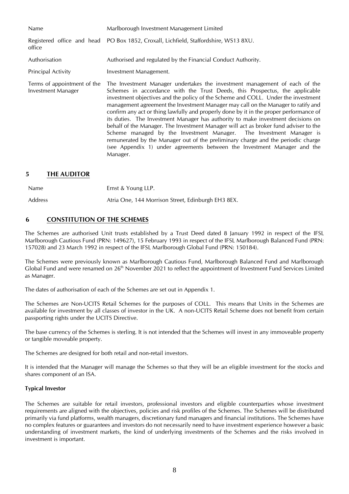| Name                                                     | Marlborough Investment Management Limited                                                                                                                                                                                                                                                                                                                                                                                                                                                                                                                                                                                                                                                                                                                                                                                                                    |  |
|----------------------------------------------------------|--------------------------------------------------------------------------------------------------------------------------------------------------------------------------------------------------------------------------------------------------------------------------------------------------------------------------------------------------------------------------------------------------------------------------------------------------------------------------------------------------------------------------------------------------------------------------------------------------------------------------------------------------------------------------------------------------------------------------------------------------------------------------------------------------------------------------------------------------------------|--|
| office                                                   | Registered office and head PO Box 1852, Croxall, Lichfield, Staffordshire, WS13 8XU.                                                                                                                                                                                                                                                                                                                                                                                                                                                                                                                                                                                                                                                                                                                                                                         |  |
| Authorisation                                            | Authorised and regulated by the Financial Conduct Authority.                                                                                                                                                                                                                                                                                                                                                                                                                                                                                                                                                                                                                                                                                                                                                                                                 |  |
| <b>Principal Activity</b>                                | Investment Management.                                                                                                                                                                                                                                                                                                                                                                                                                                                                                                                                                                                                                                                                                                                                                                                                                                       |  |
| Terms of appointment of the<br><b>Investment Manager</b> | The Investment Manager undertakes the investment management of each of the<br>Schemes in accordance with the Trust Deeds, this Prospectus, the applicable<br>investment objectives and the policy of the Scheme and COLL. Under the investment<br>management agreement the Investment Manager may call on the Manager to ratify and<br>confirm any act or thing lawfully and properly done by it in the proper performance of<br>its duties. The Investment Manager has authority to make investment decisions on<br>behalf of the Manager. The Investment Manager will act as broker fund adviser to the<br>Scheme managed by the Investment Manager. The Investment Manager is<br>remunerated by the Manager out of the preliminary charge and the periodic charge<br>(see Appendix 1) under agreements between the Investment Manager and the<br>Manager. |  |

## <span id="page-7-0"></span>**5 THE AUDITOR**

Name **Ernst & Young LLP.** 

Address Atria One, 144 Morrison Street, Edinburgh EH3 8EX.

## <span id="page-7-1"></span>**6 CONSTITUTION OF THE SCHEMES**

The Schemes are authorised Unit trusts established by a Trust Deed dated 8 January 1992 in respect of the IFSL Marlborough Cautious Fund (PRN: 149627), 15 February 1993 in respect of the IFSL Marlborough Balanced Fund (PRN: 157028) and 23 March 1992 in respect of the IFSL Marlborough Global Fund (PRN: 150184).

The Schemes were previously known as Marlborough Cautious Fund, Marlborough Balanced Fund and Marlborough Global Fund and were renamed on  $26<sup>th</sup>$  November 2021 to reflect the appointment of Investment Fund Services Limited as Manager.

The dates of authorisation of each of the Schemes are set out in Appendix 1.

The Schemes are Non-UCITS Retail Schemes for the purposes of COLL. This means that Units in the Schemes are available for investment by all classes of investor in the UK. A non-UCITS Retail Scheme does not benefit from certain passporting rights under the UCITS Directive.

The base currency of the Schemes is sterling. It is not intended that the Schemes will invest in any immoveable property or tangible moveable property.

The Schemes are designed for both retail and non-retail investors.

It is intended that the Manager will manage the Schemes so that they will be an eligible investment for the stocks and shares component of an ISA.

#### **Typical Investor**

The Schemes are suitable for retail investors, professional investors and eligible counterparties whose investment requirements are aligned with the objectives, policies and risk profiles of the Schemes. The Schemes will be distributed primarily via fund platforms, wealth managers, discretionary fund managers and financial institutions. The Schemes have no complex features or guarantees and investors do not necessarily need to have investment experience however a basic understanding of investment markets, the kind of underlying investments of the Schemes and the risks involved in investment is important.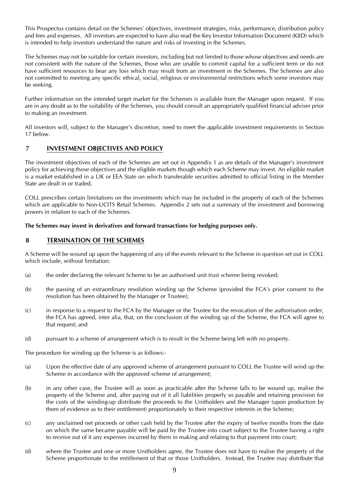This Prospectus contains detail on the Schemes' objectives, investment strategies, risks, performance, distribution policy and fees and expenses. All investors are expected to have also read the Key Investor Information Document (KIID) which is intended to help investors understand the nature and risks of investing in the Schemes.

The Schemes may not be suitable for certain investors, including but not limited to those whose objectives and needs are not consistent with the nature of the Schemes, those who are unable to commit capital for a sufficient term or do not have sufficient resources to bear any loss which may result from an investment in the Schemes. The Schemes are also not committed to meeting any specific ethical, social, religious or environmental restrictions which some investors may be seeking.

Further information on the intended target market for the Schemes is available from the Manager upon request. If you are in any doubt as to the suitability of the Schemes, you should consult an appropriately qualified financial adviser prior to making an investment.

All investors will, subject to the Manager's discretion, need to meet the applicable investment requirements in Section 17 below.

## <span id="page-8-0"></span>**7 INVESTMENT OBJECTIVES AND POLICY**

The investment objectives of each of the Schemes are set out in Appendix 1 as are details of the Manager's investment policy for achieving those objectives and the eligible markets though which each Scheme may invest. An eligible market is a market established in a UK or EEA State on which transferable securities admitted to official listing in the Member State are dealt in or traded.

COLL prescribes certain limitations on the investments which may be included in the property of each of the Schemes which are applicable to Non-UCITS Retail Schemes. Appendix 2 sets out a summary of the investment and borrowing powers in relation to each of the Schemes.

#### **The Schemes may invest in derivatives and forward transactions for hedging purposes only.**

## <span id="page-8-1"></span>**8 TERMINATION OF THE SCHEMES**

A Scheme will be wound up upon the happening of any of the events relevant to the Scheme in question set out in COLL which include, without limitation:

- (a) the order declaring the relevant Scheme to be an authorised unit trust scheme being revoked;
- (b) the passing of an extraordinary resolution winding up the Scheme (provided the FCA's prior consent to the resolution has been obtained by the Manager or Trustee);
- (c) in response to a request to the FCA by the Manager or the Trustee for the revocation of the authorisation order, the FCA has agreed, inter alia, that, on the conclusion of the winding up of the Scheme, the FCA will agree to that request; and
- (d) pursuant to a scheme of arrangement which is to result in the Scheme being left with no property.

The procedure for winding up the Scheme is as follows:-

- (a) Upon the effective date of any approved scheme of arrangement pursuant to COLL the Trustee will wind up the Scheme in accordance with the approved scheme of arrangement;
- (b) in any other case, the Trustee will as soon as practicable after the Scheme falls to be wound up, realise the property of the Scheme and, after paying out of it all liabilities properly so payable and retaining provision for the costs of the winding-up distribute the proceeds to the Unitholders and the Manager (upon production by them of evidence as to their entitlement) proportionately to their respective interests in the Scheme;
- (c) any unclaimed net proceeds or other cash held by the Trustee after the expiry of twelve months from the date on which the same became payable will be paid by the Trustee into court subject to the Trustee having a right to receive out of it any expenses incurred by them in making and relating to that payment into court;
- (d) where the Trustee and one or more Unitholders agree, the Trustee does not have to realise the property of the Scheme proportionate to the entitlement of that or those Unitholders. Instead, the Trustee may distribute that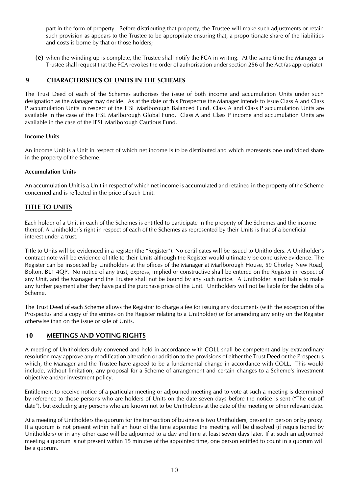part in the form of property. Before distributing that property, the Trustee will make such adjustments or retain such provision as appears to the Trustee to be appropriate ensuring that, a proportionate share of the liabilities and costs is borne by that or those holders;

(e) when the winding up is complete, the Trustee shall notify the FCA in writing. At the same time the Manager or Trustee shall request that the FCA revokes the order of authorisation under section 256 of the Act (as appropriate).

## <span id="page-9-0"></span>**9 CHARACTERISTICS OF UNITS IN THE SCHEMES**

The Trust Deed of each of the Schemes authorises the issue of both income and accumulation Units under such designation as the Manager may decide. As at the date of this Prospectus the Manager intends to issue Class A and Class P accumulation Units in respect of the IFSL Marlborough Balanced Fund. Class A and Class P accumulation Units are available in the case of the IFSL Marlborough Global Fund. Class A and Class P income and accumulation Units are available in the case of the IFSL Marlborough Cautious Fund.

#### **Income Units**

An income Unit is a Unit in respect of which net income is to be distributed and which represents one undivided share in the property of the Scheme.

#### **Accumulation Units**

An accumulation Unit is a Unit in respect of which net income is accumulated and retained in the property of the Scheme concerned and is reflected in the price of such Unit.

## **TITLE TO UNITS**

Each holder of a Unit in each of the Schemes is entitled to participate in the property of the Schemes and the income thereof. A Unitholder's right in respect of each of the Schemes as represented by their Units is that of a beneficial interest under a trust.

Title to Units will be evidenced in a register (the "Register"). No certificates will be issued to Unitholders. A Unitholder's contract note will be evidence of title to their Units although the Register would ultimately be conclusive evidence. The Register can be inspected by Unitholders at the offices of the Manager at Marlborough House, 59 Chorley New Road, Bolton, BL1 4QP. No notice of any trust, express, implied or constructive shall be entered on the Register in respect of any Unit, and the Manager and the Trustee shall not be bound by any such notice. A Unitholder is not liable to make any further payment after they have paid the purchase price of the Unit. Unitholders will not be liable for the debts of a Scheme.

The Trust Deed of each Scheme allows the Registrar to charge a fee for issuing any documents (with the exception of the Prospectus and a copy of the entries on the Register relating to a Unitholder) or for amending any entry on the Register otherwise than on the issue or sale of Units.

#### <span id="page-9-1"></span>**10 MEETINGS AND VOTING RIGHTS**

A meeting of Unitholders duly convened and held in accordance with COLL shall be competent and by extraordinary resolution may approve any modification alteration or addition to the provisions of either the Trust Deed or the Prospectus which, the Manager and the Trustee have agreed to be a fundamental change in accordance with COLL. This would include, without limitation, any proposal for a Scheme of arrangement and certain changes to a Scheme's investment objective and/or investment policy.

Entitlement to receive notice of a particular meeting or adjourned meeting and to vote at such a meeting is determined by reference to those persons who are holders of Units on the date seven days before the notice is sent ("The cut-off date"), but excluding any persons who are known not to be Unitholders at the date of the meeting or other relevant date.

At a meeting of Unitholders the quorum for the transaction of business is two Unitholders, present in person or by proxy. If a quorum is not present within half an hour of the time appointed the meeting will be dissolved (if requisitioned by Unitholders) or in any other case will be adjourned to a day and time at least seven days later. If at such an adjourned meeting a quorum is not present within 15 minutes of the appointed time, one person entitled to count in a quorum will be a quorum.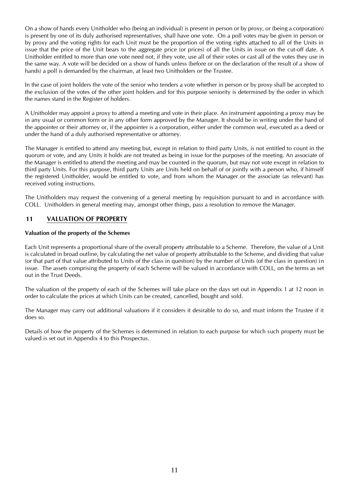On a show of hands every Unitholder who (being an individual) is present in person or by proxy, or (being a corporation) is present by one of its duly authorised representatives, shall have one vote. On a poll votes may be given in person or by proxy and the voting rights for each Unit must be the proportion of the voting rights attached to all of the Units in issue that the price of the Unit bears to the aggregate price (or prices) of all the Units in issue on the cut-off date. A Unitholder entitled to more than one vote need not, if they vote, use all of their votes or cast all of the votes they use in the same way. A vote will be decided on a show of hands unless (before or on the declaration of the result of a show of hands) a poll is demanded by the chairman, at least two Unitholders or the Trustee.

In the case of joint holders the vote of the senior who tenders a vote whether in person or by proxy shall be accepted to the exclusion of the votes of the other joint holders and for this purpose seniority is determined by the order in which the names stand in the Register of holders.

A Unitholder may appoint a proxy to attend a meeting and vote in their place. An instrument appointing a proxy may be in any usual or common form or in any other form approved by the Manager. It should be in writing under the hand of the appointer or their attorney or, if the appointer is a corporation, either under the common seal, executed as a deed or under the hand of a duly authorised representative or attorney.

The Manager is entitled to attend any meeting but, except in relation to third party Units, is not entitled to count in the quorum or vote, and any Units it holds are not treated as being in issue for the purposes of the meeting. An associate of the Manager is entitled to attend the meeting and may be counted in the quorum, but may not vote except in relation to third party Units. For this purpose, third party Units are Units held on behalf of or jointly with a person who, if himself the registered Unitholder, would be entitled to vote, and from whom the Manager or the associate (as relevant) has received voting instructions.

The Unitholders may request the convening of a general meeting by requisition pursuant to and in accordance with COLL. Unitholders in general meeting may, amongst other things, pass a resolution to remove the Manager.

## <span id="page-10-0"></span>**11 VALUATION OF PROPERTY**

#### **Valuation of the property of the Schemes**

Each Unit represents a proportional share of the overall property attributable to a Scheme. Therefore, the value of a Unit is calculated in broad outline, by calculating the net value of property attributable to the Scheme, and dividing that value (or that part of that value attributed to Units of the class in question) by the number of Units (of the class in question) in issue. The assets comprising the property of each Scheme will be valued in accordance with COLL, on the terms as set out in the Trust Deeds.

The valuation of the property of each of the Schemes will take place on the days set out in Appendix 1 at 12 noon in order to calculate the prices at which Units can be created, cancelled, bought and sold.

The Manager may carry out additional valuations if it considers it desirable to do so, and must inform the Trustee if it does so.

Details of how the property of the Schemes is determined in relation to each purpose for which such property must be valued is set out in Appendix 4 to this Prospectus.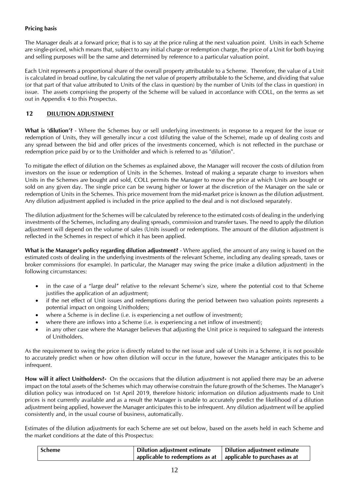## **Pricing basis**

The Manager deals at a forward price; that is to say at the price ruling at the next valuation point. Units in each Scheme are single-priced, which means that, subject to any initial charge or redemption charge, the price of a Unit for both buying and selling purposes will be the same and determined by reference to a particular valuation point.

Each Unit represents a proportional share of the overall property attributable to a Scheme. Therefore, the value of a Unit is calculated in broad outline, by calculating the net value of property attributable to the Scheme, and dividing that value (or that part of that value attributed to Units of the class in question) by the number of Units (of the class in question) in issue. The assets comprising the property of the Scheme will be valued in accordance with COLL, on the terms as set out in Appendix 4 to this Prospectus.

### <span id="page-11-0"></span>**12 DILUTION ADJUSTMENT**

**What is 'dilution'?** - Where the Schemes buy or sell underlying investments in response to a request for the issue or redemption of Units, they will generally incur a cost (diluting the value of the Scheme), made up of dealing costs and any spread between the bid and offer prices of the investments concerned, which is not reflected in the purchase or redemption price paid by or to the Unitholder and which is referred to as "dilution".

To mitigate the effect of dilution on the Schemes as explained above, the Manager will recover the costs of dilution from investors on the issue or redemption of Units in the Schemes. Instead of making a separate charge to investors when Units in the Schemes are bought and sold, COLL permits the Manager to move the price at which Units are bought or sold on any given day. The single price can be swung higher or lower at the discretion of the Manager on the sale or redemption of Units in the Schemes. This price movement from the mid-market price is known as the dilution adjustment. Any dilution adjustment applied is included in the price applied to the deal and is not disclosed separately.

The dilution adjustment for the Schemes will be calculated by reference to the estimated costs of dealing in the underlying investments of the Schemes, including any dealing spreads, commission and transfer taxes. The need to apply the dilution adjustment will depend on the volume of sales (Units issued) or redemptions. The amount of the dilution adjustment is reflected in the Schemes in respect of which it has been applied.

**What is the Manager's policy regarding dilution adjustment?** - Where applied, the amount of any swing is based on the estimated costs of dealing in the underlying investments of the relevant Scheme, including any dealing spreads, taxes or broker commissions (for example). In particular, the Manager may swing the price (make a dilution adjustment) in the following circumstances:

- in the case of a "large deal" relative to the relevant Scheme's size, where the potential cost to that Scheme justifies the application of an adjustment;
- if the net effect of Unit issues and redemptions during the period between two valuation points represents a potential impact on ongoing Unitholders;
- where a Scheme is in decline (i.e. is experiencing a net outflow of investment);
- where there are inflows into a Scheme (i.e. is experiencing a net inflow of investment);
- in any other case where the Manager believes that adjusting the Unit price is required to safeguard the interests of Unitholders.

As the requirement to swing the price is directly related to the net issue and sale of Units in a Scheme, it is not possible to accurately predict when or how often dilution will occur in the future, however the Manager anticipates this to be infrequent.

**How will it affect Unitholders?-** On the occasions that the dilution adjustment is not applied there may be an adverse impact on the total assets of the Schemes which may otherwise constrain the future growth of the Schemes. The Manager's dilution policy was introduced on 1st April 2019, therefore historic information on dilution adjustments made to Unit prices is not currently available and as a result the Manager is unable to accurately predict the likelihood of a dilution adjustment being applied, however the Manager anticipates this to be infrequent. Any dilution adjustment will be applied consistently and, in the usual course of business, automatically.

Estimates of the dilution adjustments for each Scheme are set out below, based on the assets held in each Scheme and the market conditions at the date of this Prospectus:

| <b>Scheme</b> | Dilution adjustment estimate                                              | Dilution adjustment estimate |
|---------------|---------------------------------------------------------------------------|------------------------------|
|               | applicable to redemptions as at $\parallel$ applicable to purchases as at |                              |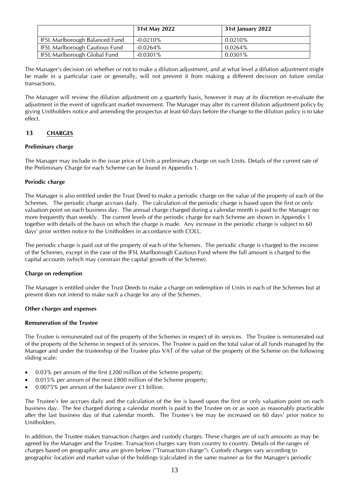|                                | 31st May 2022 | 31st January 2022 |
|--------------------------------|---------------|-------------------|
| IFSL Marlborough Balanced Fund | $-0.0210%$    | 0.0210%           |
| IFSL Marlborough Cautious Fund | $-0.0264\%$   | 0.0264%           |
| IFSL Marlborough Global Fund   | -0.0301%      | $0.0301\%$        |

The Manager's decision on whether or not to make a dilution adjustment, and at what level a dilution adjustment might be made in a particular case or generally, will not prevent it from making a different decision on future similar transactions.

The Manager will review the dilution adjustment on a quarterly basis, however it may at its discretion re-evaluate the adjustment in the event of significant market movement. The Manager may alter its current dilution adjustment policy by giving Unitholders notice and amending the prospectus at least 60 days before the change to the dilution policy is to take effect.

## <span id="page-12-0"></span>**13 CHARGES**

#### **Preliminary charge**

The Manager may include in the issue price of Units a preliminary charge on such Units. Details of the current rate of the Preliminary Charge for each Scheme can be found in Appendix 1.

#### **Periodic charge**

The Manager is also entitled under the Trust Deed to make a periodic charge on the value of the property of each of the Schemes. The periodic charge accrues daily. The calculation of the periodic charge is based upon the first or only valuation point on each business day. The annual charge charged during a calendar month is paid to the Manager no more frequently than weekly. The current levels of the periodic charge for each Scheme are shown in Appendix 1 together with details of the basis on which the charge is made. Any increase in the periodic charge is subject to 60 days' prior written notice to the Unitholders in accordance with COLL.

The periodic charge is paid out of the property of each of the Schemes. The periodic charge is charged to the income of the Schemes, except in the case of the IFSL Marlborough Cautious Fund where the full amount is charged to the capital accounts (which may constrain the capital growth of the Scheme).

#### **Charge on redemption**

The Manager is entitled under the Trust Deeds to make a charge on redemption of Units in each of the Schemes but at present does not intend to make such a charge for any of the Schemes.

#### **Other charges and expenses**

#### **Remuneration of the Trustee**

The Trustee is remunerated out of the property of the Schemes in respect of its services. The Trustee is remunerated out of the property of the Scheme in respect of its services. The Trustee is paid on the total value of all funds managed by the Manager and under the trusteeship of the Trustee plus VAT of the value of the property of the Scheme on the following sliding scale:

- 0.03% per annum of the first £200 million of the Scheme property;
- 0.015% per annum of the next £800 million of the Scheme property;
- 0.0075% per annum of the balance over £1 billion.

The Trustee's fee accrues daily and the calculation of the fee is based upon the first or only valuation point on each business day. The fee charged during a calendar month is paid to the Trustee on or as soon as reasonably practicable after the last business day of that calendar month. The Trustee's fee may be increased on 60 days' prior notice to Unitholders.

In addition, the Trustee makes transaction charges and custody charges. These charges are of such amounts as may be agreed by the Manager and the Trustee. Transaction charges vary from country to country. Details of the ranges of charges based on geographic area are given below ("Transaction charge"). Custody charges vary according to geographic location and market value of the holdings (calculated in the same manner as for the Manager's periodic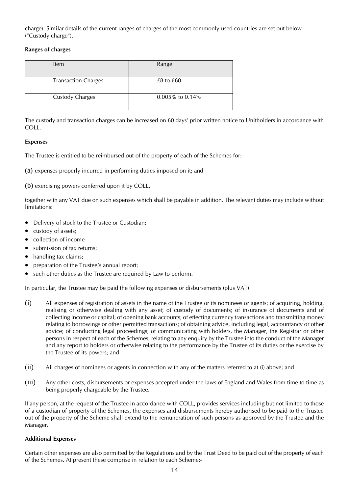charge). Similar details of the current ranges of charges of the most commonly used countries are set out below ("Custody charge").

#### **Ranges of charges**

| ltem                       | Range               |
|----------------------------|---------------------|
| <b>Transaction Charges</b> | $£8$ to $£60$       |
| <b>Custody Charges</b>     | $0.005\%$ to 0.14\% |

The custody and transaction charges can be increased on 60 days' prior written notice to Unitholders in accordance with COLL.

### **Expenses**

The Trustee is entitled to be reimbursed out of the property of each of the Schemes for:

(a) expenses properly incurred in performing duties imposed on it; and

(b) exercising powers conferred upon it by COLL,

together with any VAT due on such expenses which shall be payable in addition. The relevant duties may include without limitations:

- Delivery of stock to the Trustee or Custodian;
- custody of assets;
- collection of income
- submission of tax returns:
- handling tax claims;
- preparation of the Trustee's annual report;
- such other duties as the Trustee are required by Law to perform.

In particular, the Trustee may be paid the following expenses or disbursements (plus VAT):

- (i) All expenses of registration of assets in the name of the Trustee or its nominees or agents; of acquiring, holding, realising or otherwise dealing with any asset; of custody of documents; of insurance of documents and of collecting income or capital; of opening bank accounts; of effecting currency transactions and transmitting money relating to borrowings or other permitted transactions; of obtaining advice, including legal, accountancy or other advice; of conducting legal proceedings; of communicating with holders, the Manager, the Registrar or other persons in respect of each of the Schemes, relating to any enquiry by the Trustee into the conduct of the Manager and any report to holders or otherwise relating to the performance by the Trustee of its duties or the exercise by the Trustee of its powers; and
- (ii) All charges of nominees or agents in connection with any of the matters referred to at (i) above; and
- (iii) Any other costs, disbursements or expenses accepted under the laws of England and Wales from time to time as being properly chargeable by the Trustee.

If any person, at the request of the Trustee in accordance with COLL, provides services including but not limited to those of a custodian of property of the Schemes, the expenses and disbursements hereby authorised to be paid to the Trustee out of the property of the Scheme shall extend to the remuneration of such persons as approved by the Trustee and the Manager.

#### **Additional Expenses**

Certain other expenses are also permitted by the Regulations and by the Trust Deed to be paid out of the property of each of the Schemes. At present these comprise in relation to each Scheme:-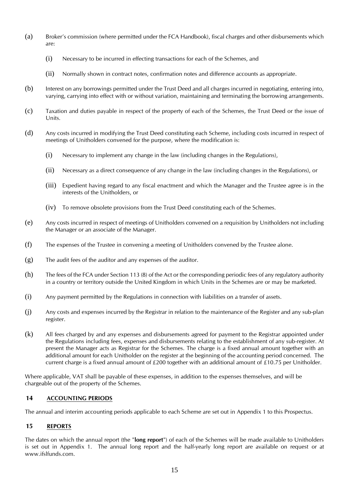- (a) Broker's commission (where permitted under the FCA Handbook), fiscal charges and other disbursements which are:
	- (i) Necessary to be incurred in effecting transactions for each of the Schemes, and
	- (ii) Normally shown in contract notes, confirmation notes and difference accounts as appropriate.
- (b) Interest on any borrowings permitted under the Trust Deed and all charges incurred in negotiating, entering into, varying, carrying into effect with or without variation, maintaining and terminating the borrowing arrangements.
- (c) Taxation and duties payable in respect of the property of each of the Schemes, the Trust Deed or the issue of Units.
- (d) Any costs incurred in modifying the Trust Deed constituting each Scheme, including costs incurred in respect of meetings of Unitholders convened for the purpose, where the modification is:
	- (i) Necessary to implement any change in the law (including changes in the Regulations),
	- (ii) Necessary as a direct consequence of any change in the law (including changes in the Regulations), or
	- (iii) Expedient having regard to any fiscal enactment and which the Manager and the Trustee agree is in the interests of the Unitholders, or
	- (iv) To remove obsolete provisions from the Trust Deed constituting each of the Schemes.
- (e) Any costs incurred in respect of meetings of Unitholders convened on a requisition by Unitholders not including the Manager or an associate of the Manager.
- (f) The expenses of the Trustee in convening a meeting of Unitholders convened by the Trustee alone.
- (g) The audit fees of the auditor and any expenses of the auditor.
- (h) The fees of the FCA under Section 113 (8) of the Act or the corresponding periodic fees of any regulatory authority in a country or territory outside the United Kingdom in which Units in the Schemes are or may be marketed.
- (i) Any payment permitted by the Regulations in connection with liabilities on a transfer of assets.
- (j) Any costs and expenses incurred by the Registrar in relation to the maintenance of the Register and any sub-plan register.
- (k) All fees charged by and any expenses and disbursements agreed for payment to the Registrar appointed under the Regulations including fees, expenses and disbursements relating to the establishment of any sub-register. At present the Manager acts as Registrar for the Schemes. The charge is a fixed annual amount together with an additional amount for each Unitholder on the register at the beginning of the accounting period concerned. The current charge is a fixed annual amount of £200 together with an additional amount of £10.75 per Unitholder.

Where applicable, VAT shall be payable of these expenses, in addition to the expenses themselves, and will be chargeable out of the property of the Schemes.

## <span id="page-14-0"></span>**14 ACCOUNTING PERIODS**

The annual and interim accounting periods applicable to each Scheme are set out in Appendix 1 to this Prospectus.

## <span id="page-14-1"></span>**15 REPORTS**

The dates on which the annual report (the "**long report**") of each of the Schemes will be made available to Unitholders is set out in Appendix 1. The annual long report and the half-yearly long report are available on request or at www.ifslfunds.com.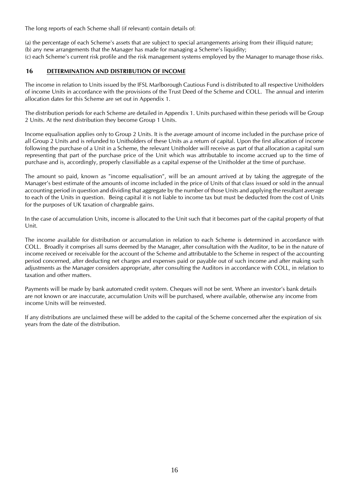The long reports of each Scheme shall (if relevant) contain details of:

(a) the percentage of each Scheme's assets that are subject to special arrangements arising from their illiquid nature; (b) any new arrangements that the Manager has made for managing a Scheme's liquidity;

(c) each Scheme's current risk profile and the risk management systems employed by the Manager to manage those risks.

#### <span id="page-15-0"></span>**16 DETERMINATION AND DISTRIBUTION OF INCOME**

The income in relation to Units issued by the IFSL Marlborough Cautious Fund is distributed to all respective Unitholders of income Units in accordance with the provisions of the Trust Deed of the Scheme and COLL. The annual and interim allocation dates for this Scheme are set out in Appendix 1.

The distribution periods for each Scheme are detailed in Appendix 1. Units purchased within these periods will be Group 2 Units. At the next distribution they become Group 1 Units.

Income equalisation applies only to Group 2 Units. It is the average amount of income included in the purchase price of all Group 2 Units and is refunded to Unitholders of these Units as a return of capital. Upon the first allocation of income following the purchase of a Unit in a Scheme, the relevant Unitholder will receive as part of that allocation a capital sum representing that part of the purchase price of the Unit which was attributable to income accrued up to the time of purchase and is, accordingly, properly classifiable as a capital expense of the Unitholder at the time of purchase.

The amount so paid, known as "income equalisation", will be an amount arrived at by taking the aggregate of the Manager's best estimate of the amounts of income included in the price of Units of that class issued or sold in the annual accounting period in question and dividing that aggregate by the number of those Units and applying the resultant average to each of the Units in question. Being capital it is not liable to income tax but must be deducted from the cost of Units for the purposes of UK taxation of chargeable gains.

In the case of accumulation Units, income is allocated to the Unit such that it becomes part of the capital property of that Unit.

The income available for distribution or accumulation in relation to each Scheme is determined in accordance with COLL. Broadly it comprises all sums deemed by the Manager, after consultation with the Auditor, to be in the nature of income received or receivable for the account of the Scheme and attributable to the Scheme in respect of the accounting period concerned, after deducting net charges and expenses paid or payable out of such income and after making such adjustments as the Manager considers appropriate, after consulting the Auditors in accordance with COLL, in relation to taxation and other matters.

Payments will be made by bank automated credit system. Cheques will not be sent. Where an investor's bank details are not known or are inaccurate, accumulation Units will be purchased, where available, otherwise any income from income Units will be reinvested.

If any distributions are unclaimed these will be added to the capital of the Scheme concerned after the expiration of six years from the date of the distribution.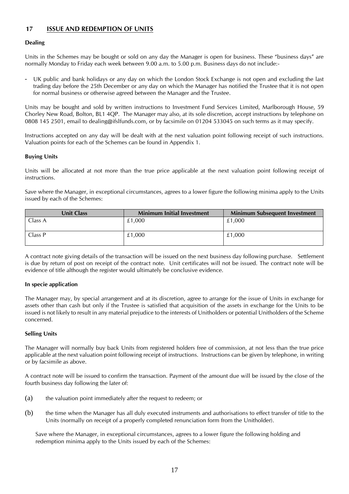## <span id="page-16-0"></span>**17 ISSUE AND REDEMPTION OF UNITS**

#### **Dealing**

Units in the Schemes may be bought or sold on any day the Manager is open for business. These "business days" are normally Monday to Friday each week between 9.00 a.m. to 5.00 p.m. Business days do not include:-

UK public and bank holidays or any day on which the London Stock Exchange is not open and excluding the last trading day before the 25th December or any day on which the Manager has notified the Trustee that it is not open for normal business or otherwise agreed between the Manager and the Trustee.

Units may be bought and sold by written instructions to Investment Fund Services Limited, Marlborough House, 59 Chorley New Road, Bolton, BL1 4QP. The Manager may also, at its sole discretion, accept instructions by telephone on 0808 145 2501, email to dealing@ifslfunds.com, or by facsimile on 01204 533045 on such terms as it may specify.

Instructions accepted on any day will be dealt with at the next valuation point following receipt of such instructions. Valuation points for each of the Schemes can be found in Appendix 1.

#### **Buying Units**

Units will be allocated at not more than the true price applicable at the next valuation point following receipt of instructions.

Save where the Manager, in exceptional circumstances, agrees to a lower figure the following minima apply to the Units issued by each of the Schemes:

| Unit Class | <b>Minimum Initial Investment</b> | <b>Minimum Subsequent Investment</b> |
|------------|-----------------------------------|--------------------------------------|
| Class A    | £1,000                            | £1,000                               |
| Class P    | £1,000                            | £1,000                               |

A contract note giving details of the transaction will be issued on the next business day following purchase. Settlement is due by return of post on receipt of the contract note. Unit certificates will not be issued. The contract note will be evidence of title although the register would ultimately be conclusive evidence.

#### **In specie application**

The Manager may, by special arrangement and at its discretion, agree to arrange for the issue of Units in exchange for assets other than cash but only if the Trustee is satisfied that acquisition of the assets in exchange for the Units to be issued is not likely to result in any material prejudice to the interests of Unitholders or potential Unitholders of the Scheme concerned.

#### **Selling Units**

The Manager will normally buy back Units from registered holders free of commission, at not less than the true price applicable at the next valuation point following receipt of instructions. Instructions can be given by telephone, in writing or by facsimile as above.

A contract note will be issued to confirm the transaction. Payment of the amount due will be issued by the close of the fourth business day following the later of:

- (a) the valuation point immediately after the request to redeem; or
- (b) the time when the Manager has all duly executed instruments and authorisations to effect transfer of title to the Units (normally on receipt of a properly completed renunciation form from the Unitholder).

Save where the Manager, in exceptional circumstances, agrees to a lower figure the following holding and redemption minima apply to the Units issued by each of the Schemes: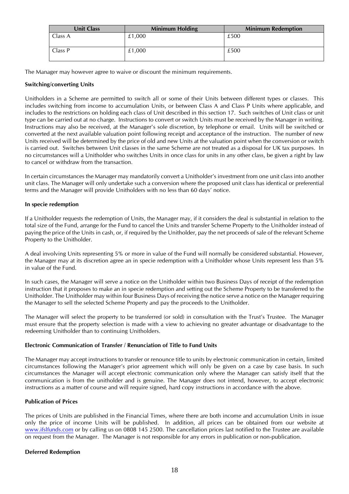| <b>Unit Class</b> | <b>Minimum Holding</b> | <b>Minimum Redemption</b> |
|-------------------|------------------------|---------------------------|
| Class A           | £1.000                 | £500                      |
| Class P           | £1,000                 | £500                      |

The Manager may however agree to waive or discount the minimum requirements.

#### **Switching/converting Units**

Unitholders in a Scheme are permitted to switch all or some of their Units between different types or classes. This includes switching from income to accumulation Units, or between Class A and Class P Units where applicable, and includes to the restrictions on holding each class of Unit described in this section 17. Such switches of Unit class or unit type can be carried out at no charge. Instructions to convert or switch Units must be received by the Manager in writing. Instructions may also be received, at the Manager's sole discretion, by telephone or email. Units will be switched or converted at the next available valuation point following receipt and acceptance of the instruction. The number of new Units received will be determined by the price of old and new Units at the valuation point when the conversion or switch is carried out. Switches between Unit classes in the same Scheme are not treated as a disposal for UK tax purposes. In no circumstances will a Unitholder who switches Units in once class for units in any other class, be given a right by law to cancel or withdraw from the transaction.

In certain circumstances the Manager may mandatorily convert a Unitholder's investment from one unit class into another unit class. The Manager will only undertake such a conversion where the proposed unit class has identical or preferential terms and the Manager will provide Unitholders with no less than 60 days' notice.

#### **In specie redemption**

If a Unitholder requests the redemption of Units, the Manager may, if it considers the deal is substantial in relation to the total size of the Fund, arrange for the Fund to cancel the Units and transfer Scheme Property to the Unitholder instead of paying the price of the Units in cash, or, if required by the Unitholder, pay the net proceeds of sale of the relevant Scheme Property to the Unitholder.

A deal involving Units representing 5% or more in value of the Fund will normally be considered substantial. However, the Manager may at its discretion agree an in specie redemption with a Unitholder whose Units represent less than 5% in value of the Fund.

In such cases, the Manager will serve a notice on the Unitholder within two Business Days of receipt of the redemption instruction that it proposes to make an in specie redemption and setting out the Scheme Property to be transferred to the Unitholder. The Unitholder may within four Business Days of receiving the notice serve a notice on the Manager requiring the Manager to sell the selected Scheme Property and pay the proceeds to the Unitholder.

The Manager will select the property to be transferred (or sold) in consultation with the Trust's Trustee. The Manager must ensure that the property selection is made with a view to achieving no greater advantage or disadvantage to the redeeming Unitholder than to continuing Unitholders.

#### **Electronic Communication of Transfer / Renunciation of Title to Fund Units**

The Manager may accept instructions to transfer or renounce title to units by electronic communication in certain, limited circumstances following the Manager's prior agreement which will only be given on a case by case basis. In such circumstances the Manager will accept electronic communication only where the Manager can satisfy itself that the communication is from the unitholder and is genuine. The Manager does not intend, however, to accept electronic instructions as a matter of course and will require signed, hard copy instructions in accordance with the above.

#### **Publication of Prices**

The prices of Units are published in the Financial Times, where there are both income and accumulation Units in issue only the price of income Units will be published. In addition, all prices can be obtained from our website at [www.ifslfunds.com](http://www.ifslfunds.com/) or by calling us on 0808 145 2500. The cancellation prices last notified to the Trustee are available on request from the Manager. The Manager is not responsible for any errors in publication or non-publication.

#### **Deferred Redemption**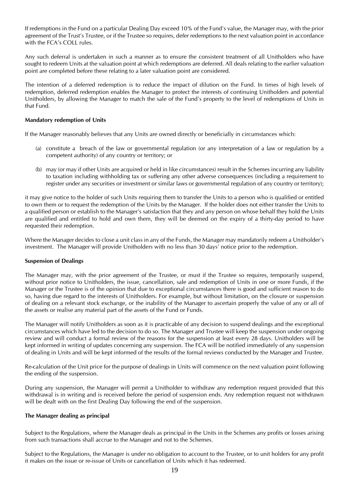If redemptions in the Fund on a particular Dealing Day exceed 10% of the Fund's value, the Manager may, with the prior agreement of the Trust's Trustee, or if the Trustee so requires, defer redemptions to the next valuation point in accordance with the FCA's COLL rules.

Any such deferral is undertaken in such a manner as to ensure the consistent treatment of all Unitholders who have sought to redeem Units at the valuation point at which redemptions are deferred. All deals relating to the earlier valuation point are completed before these relating to a later valuation point are considered.

The intention of a deferred redemption is to reduce the impact of dilution on the Fund. In times of high levels of redemption, deferred redemption enables the Manager to protect the interests of continuing Unitholders and potential Unitholders, by allowing the Manager to match the sale of the Fund's property to the level of redemptions of Units in that Fund.

#### **Mandatory redemption of Units**

If the Manager reasonably believes that any Units are owned directly or beneficially in circumstances which:

- (a) constitute a breach of the law or governmental regulation (or any interpretation of a law or regulation by a competent authority) of any country or territory; or
- (b) may (or may if other Units are acquired or held in like circumstances) result in the Schemes incurring any liability to taxation including withholding tax or suffering any other adverse consequences (including a requirement to register under any securities or investment or similar laws or governmental regulation of any country or territory);

it may give notice to the holder of such Units requiring them to transfer the Units to a person who is qualified or entitled to own them or to request the redemption of the Units by the Manager. If the holder does not either transfer the Units to a qualified person or establish to the Manager's satisfaction that they and any person on whose behalf they hold the Units are qualified and entitled to hold and own them, they will be deemed on the expiry of a thirty-day period to have requested their redemption.

Where the Manager decides to close a unit class in any of the Funds, the Manager may mandatorily redeem a Unitholder's investment. The Manager will provide Unitholders with no less than 30 days' notice prior to the redemption.

#### **Suspension of Dealings**

The Manager may, with the prior agreement of the Trustee, or must if the Trustee so requires, temporarily suspend, without prior notice to Unitholders, the issue, cancellation, sale and redemption of Units in one or more Funds, if the Manager or the Trustee is of the opinion that due to exceptional circumstances there is good and sufficient reason to do so, having due regard to the interests of Unitholders. For example, but without limitation, on the closure or suspension of dealing on a relevant stock exchange, or the inability of the Manager to ascertain properly the value of any or all of the assets or realise any material part of the assets of the Fund or Funds.

The Manager will notify Unitholders as soon as it is practicable of any decision to suspend dealings and the exceptional circumstances which have led to the decision to do so. The Manager and Trustee will keep the suspension under ongoing review and will conduct a formal review of the reasons for the suspension at least every 28 days. Unitholders will be kept informed in writing of updates concerning any suspension. The FCA will be notified immediately of any suspension of dealing in Units and will be kept informed of the results of the formal reviews conducted by the Manager and Trustee.

Re-calculation of the Unit price for the purpose of dealings in Units will commence on the next valuation point following the ending of the suspension.

During any suspension, the Manager will permit a Unitholder to withdraw any redemption request provided that this withdrawal is in writing and is received before the period of suspension ends. Any redemption request not withdrawn will be dealt with on the first Dealing Day following the end of the suspension.

#### **The Manager dealing as principal**

Subject to the Regulations, where the Manager deals as principal in the Units in the Schemes any profits or losses arising from such transactions shall accrue to the Manager and not to the Schemes.

Subject to the Regulations, the Manager is under no obligation to account to the Trustee, or to unit holders for any profit it makes on the issue or re-issue of Units or cancellation of Units which it has redeemed.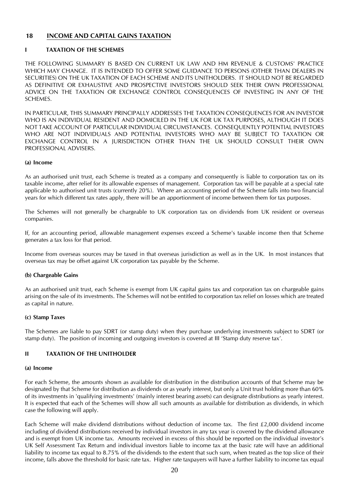## <span id="page-19-0"></span>**18 INCOME AND CAPITAL GAINS TAXATION**

#### **I TAXATION OF THE SCHEMES**

THE FOLLOWING SUMMARY IS BASED ON CURRENT UK LAW AND HM REVENUE & CUSTOMS' PRACTICE WHICH MAY CHANGE. IT IS INTENDED TO OFFER SOME GUIDANCE TO PERSONS (OTHER THAN DEALERS IN SECURITIES) ON THE UK TAXATION OF EACH SCHEME AND ITS UNITHOLDERS. IT SHOULD NOT BE REGARDED AS DEFINITIVE OR EXHAUSTIVE AND PROSPECTIVE INVESTORS SHOULD SEEK THEIR OWN PROFESSIONAL ADVICE ON THE TAXATION OR EXCHANGE CONTROL CONSEQUENCES OF INVESTING IN ANY OF THE SCHEMES.

IN PARTICULAR, THIS SUMMARY PRINCIPALLY ADDRESSES THE TAXATION CONSEQUENCES FOR AN INVESTOR WHO IS AN INDIVIDUAL RESIDENT AND DOMICILED IN THE UK FOR UK TAX PURPOSES, ALTHOUGH IT DOES NOT TAKE ACCOUNT OF PARTICULAR INDIVIDUAL CIRCUMSTANCES. CONSEQUENTLY POTENTIAL INVESTORS WHO ARE NOT INDIVIDUALS AND POTENTIAL INVESTORS WHO MAY BE SUBJECT TO TAXATION OR EXCHANGE CONTROL IN A JURISDICTION OTHER THAN THE UK SHOULD CONSULT THEIR OWN PROFESSIONAL ADVISERS.

#### **(a) Income**

As an authorised unit trust, each Scheme is treated as a company and consequently is liable to corporation tax on its taxable income, after relief for its allowable expenses of management. Corporation tax will be payable at a special rate applicable to authorised unit trusts (currently 20%). Where an accounting period of the Scheme falls into two financial years for which different tax rates apply, there will be an apportionment of income between them for tax purposes.

The Schemes will not generally be chargeable to UK corporation tax on dividends from UK resident or overseas companies.

If, for an accounting period, allowable management expenses exceed a Scheme's taxable income then that Scheme generates a tax loss for that period.

Income from overseas sources may be taxed in that overseas jurisdiction as well as in the UK. In most instances that overseas tax may be offset against UK corporation tax payable by the Scheme.

#### **(b) Chargeable Gains**

As an authorised unit trust, each Scheme is exempt from UK capital gains tax and corporation tax on chargeable gains arising on the sale of its investments. The Schemes will not be entitled to corporation tax relief on losses which are treated as capital in nature.

#### **(c) Stamp Taxes**

The Schemes are liable to pay SDRT (or stamp duty) when they purchase underlying investments subject to SDRT (or stamp duty). The position of incoming and outgoing investors is covered at III 'Stamp duty reserve tax'.

#### **II TAXATION OF THE UNITHOLDER**

#### **(a) Income**

For each Scheme, the amounts shown as available for distribution in the distribution accounts of that Scheme may be designated by that Scheme for distribution as dividends or as yearly interest, but only a Unit trust holding more than 60% of its investments in 'qualifying investments' (mainly interest bearing assets) can designate distributions as yearly interest. It is expected that each of the Schemes will show all such amounts as available for distribution as dividends, in which case the following will apply.

Each Scheme will make dividend distributions without deduction of income tax. The first  $£2,000$  dividend income including of dividend distributions received by individual investors in any tax year is covered by the dividend allowance and is exempt from UK income tax. Amounts received in excess of this should be reported on the individual investor's UK Self Assessment Tax Return and individual investors liable to income tax at the basic rate will have an additional liability to income tax equal to 8.75% of the dividends to the extent that such sum, when treated as the top slice of their income, falls above the threshold for basic rate tax. Higher rate taxpayers will have a further liability to income tax equal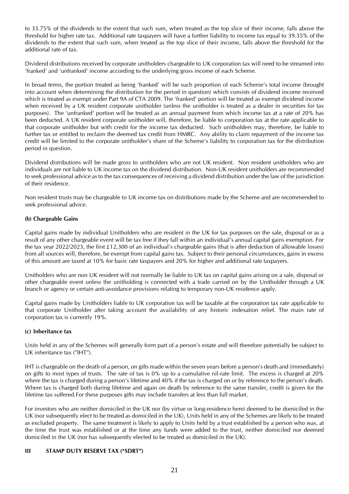to 33.75% of the dividends to the extent that such sum, when treated as the top slice of their income, falls above the threshold for higher rate tax. Additional rate taxpayers will have a further liability to income tax equal to 39.35% of the dividends to the extent that such sum, when treated as the top slice of their income, falls above the threshold for the additional rate of tax.

Dividend distributions received by corporate unitholders chargeable to UK corporation tax will need to be streamed into 'franked' and 'unfranked' income according to the underlying gross income of each Scheme.

In broad terms, the portion treated as being 'franked' will be such proportion of each Scheme's total income (brought into account when determining the distribution for the period in question) which consists of dividend income received which is treated as exempt under Part 9A of CTA 2009. The 'franked' portion will be treated as exempt dividend income when received by a UK resident corporate unitholder (unless the unitholder is treated as a dealer in securities for tax purposes). The 'unfranked' portion will be treated as an annual payment from which income tax at a rate of 20% has been deducted. A UK resident corporate unitholder will, therefore, be liable to corporation tax at the rate applicable to that corporate unitholder but with credit for the income tax deducted. Such unitholders may, therefore, be liable to further tax or entitled to reclaim the deemed tax credit from HMRC. Any ability to claim repayment of the income tax credit will be limited to the corporate unitholder's share of the Scheme's liability to corporation tax for the distribution period in question.

Dividend distributions will be made gross to unitholders who are not UK resident. Non resident unitholders who are individuals are not liable to UK income tax on the dividend distribution. Non-UK resident unitholders are recommended to seek professional advice as to the tax consequences of receiving a dividend distribution under the law of the jurisdiction of their residence.

Non resident trusts may be chargeable to UK income tax on distributions made by the Scheme and are recommended to seek professional advice.

#### **(b) Chargeable Gains**

Capital gains made by individual Unitholders who are resident in the UK for tax purposes on the sale, disposal or as a result of any other chargeable event will be tax free if they fall within an individual's annual capital gains exemption. For the tax year 2022/2023, the first £12,300 of an individual's chargeable gains (that is after deduction of allowable losses) from all sources will, therefore, be exempt from capital gains tax. Subject to their personal circumstances, gains in excess of this amount are taxed at 10% for basic rate taxpayers and 20% for higher and additional rate taxpayers.

Unitholders who are non UK resident will not normally be liable to UK tax on capital gains arising on a sale, disposal or other chargeable event unless the unitholding is connected with a trade carried on by the Unitholder through a UK branch or agency or certain anti-avoidance provisions relating to temporary non-UK residence apply.

Capital gains made by Unitholders liable to UK corporation tax will be taxable at the corporation tax rate applicable to that corporate Unitholder after taking account the availability of any historic indexation relief. The main rate of corporation tax is currently 19%.

#### **(c) Inheritance tax**

Units held in any of the Schemes will generally form part of a person's estate and will therefore potentially be subject to UK inheritance tax ("IHT").

IHT is chargeable on the death of a person, on gifts made within the seven years before a person's death and (immediately) on gifts to most types of trusts. The rate of tax is 0% up to a cumulative nil-rate limit. The excess is charged at 20% where the tax is charged during a person's lifetime and 40% if the tax is charged on or by reference to the person's death. Where tax is charged both during lifetime and again on death by reference to the same transfer, credit is given for the lifetime tax suffered.For these purposes gifts may include transfers at less than full market.

For investors who are neither domiciled in the UK nor (by virtue or long-residence here) deemed to be domiciled in the UK (nor subsequently elect to be treated as domiciled in the UK), Units held in any of the Schemes are likely to be treated as excluded property. The same treatment is likely to apply to Units held by a trust established by a person who was, at the time the trust was established or at the time any funds were added to the trust, neither domiciled nor deemed domiciled in the UK (nor has subsequently elected to be treated as domiciled in the UK).

#### **III STAMP DUTY RESERVE TAX ("SDRT")**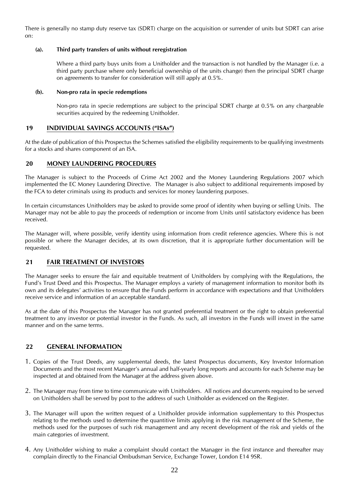There is generally no stamp duty reserve tax (SDRT) charge on the acquisition or surrender of units but SDRT can arise on:

#### **(a). Third party transfers of units without reregistration**

Where a third party buys units from a Unitholder and the transaction is not handled by the Manager (i.e. a third party purchase where only beneficial ownership of the units change) then the principal SDRT charge on agreements to transfer for consideration will still apply at 0.5%.

#### **(b). Non-pro rata in specie redemptions**

Non-pro rata in specie redemptions are subject to the principal SDRT charge at 0.5% on any chargeable securities acquired by the redeeming Unitholder.

## <span id="page-21-0"></span>**19 INDIVIDUAL SAVINGS ACCOUNTS ("ISAs")**

At the date of publication of this Prospectus the Schemes satisfied the eligibility requirements to be qualifying investments for a stocks and shares component of an ISA.

## <span id="page-21-1"></span>**20 MONEY LAUNDERING PROCEDURES**

The Manager is subject to the Proceeds of Crime Act 2002 and the Money Laundering Regulations 2007 which implemented the EC Money Laundering Directive. The Manager is also subject to additional requirements imposed by the FCA to deter criminals using its products and services for money laundering purposes.

In certain circumstances Unitholders may be asked to provide some proof of identity when buying or selling Units. The Manager may not be able to pay the proceeds of redemption or income from Units until satisfactory evidence has been received.

The Manager will, where possible, verify identity using information from credit reference agencies. Where this is not possible or where the Manager decides, at its own discretion, that it is appropriate further documentation will be requested.

## <span id="page-21-2"></span>**21 FAIR TREATMENT OF INVESTORS**

The Manager seeks to ensure the fair and equitable treatment of Unitholders by complying with the Regulations, the Fund's Trust Deed and this Prospectus. The Manager employs a variety of management information to monitor both its own and its delegates' activities to ensure that the Funds perform in accordance with expectations and that Unitholders receive service and information of an acceptable standard.

As at the date of this Prospectus the Manager has not granted preferential treatment or the right to obtain preferential treatment to any investor or potential investor in the Funds. As such, all investors in the Funds will invest in the same manner and on the same terms.

## <span id="page-21-3"></span>**22 GENERAL INFORMATION**

- 1. Copies of the Trust Deeds, any supplemental deeds, the latest Prospectus documents, Key Investor Information Documents and the most recent Manager's annual and half-yearly long reports and accounts for each Scheme may be inspected at and obtained from the Manager at the address given above.
- 2. The Manager may from time to time communicate with Unitholders. All notices and documents required to be served on Unitholders shall be served by post to the address of such Unitholder as evidenced on the Register.
- 3. The Manager will upon the written request of a Unitholder provide information supplementary to this Prospectus relating to the methods used to determine the quantitive limits applying in the risk management of the Scheme, the methods used for the purposes of such risk management and any recent development of the risk and yields of the main categories of investment.
- 4. Any Unitholder wishing to make a complaint should contact the Manager in the first instance and thereafter may complain directly to the Financial Ombudsman Service, Exchange Tower, London E14 9SR.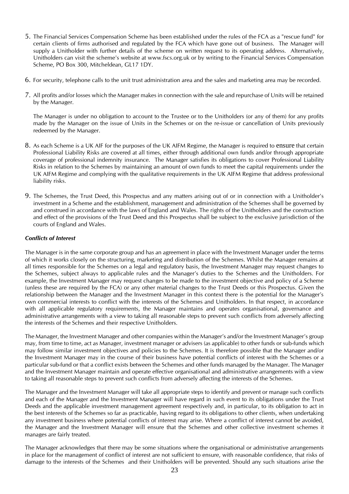- 5. The Financial Services Compensation Scheme has been established under the rules of the FCA as a "rescue fund" for certain clients of firms authorised and regulated by the FCA which have gone out of business. The Manager will supply a Unitholder with further details of the scheme on written request to its operating address. Alternatively, Unitholders can visit the scheme's website at www.fscs.org.uk or by writing to the Financial Services Compensation Scheme, PO Box 300, Mitcheldean, GL17 1DY.
- 6. For security, telephone calls to the unit trust administration area and the sales and marketing area may be recorded.
- 7. All profits and/or losses which the Manager makes in connection with the sale and repurchase of Units will be retained by the Manager.

The Manager is under no obligation to account to the Trustee or to the Unitholders (or any of them) for any profits made by the Manager on the issue of Units in the Schemes or on the re-issue or cancellation of Units previously redeemed by the Manager.

- 8. As each Scheme is a UK AIF for the purposes of the UK AIFM Regime, the Manager is required to ensure that certain Professional Liability Risks are covered at all times, either through additional own funds and/or through appropriate coverage of professional indemnity insurance. The Manager satisfies its obligations to cover Professional Liability Risks in relation to the Schemes by maintaining an amount of own funds to meet the capital requirements under the UK AIFM Regime and complying with the qualitative requirements in the UK AIFM Regime that address professional liability risks.
- 9. The Schemes, the Trust Deed, this Prospectus and any matters arising out of or in connection with a Unitholder's investment in a Scheme and the establishment, management and administration of the Schemes shall be governed by and construed in accordance with the laws of England and Wales. The rights of the Unitholders and the construction and effect of the provisions of the Trust Deed and this Prospectus shall be subject to the exclusive jurisdiction of the courts of England and Wales.

#### *Conflicts of Interest*

The Manager is in the same corporate group and has an agreement in place with the Investment Manager under the terms of which it works closely on the structuring, marketing and distribution of the Schemes. Whilst the Manager remains at all times responsible for the Schemes on a legal and regulatory basis, the Investment Manager may request changes to the Schemes, subject always to applicable rules and the Manager's duties to the Schemes and the Unitholders. For example, the Investment Manager may request changes to be made to the investment objective and policy of a Scheme (unless these are required by the FCA) or any other material changes to the Trust Deeds or this Prospectus. Given the relationship between the Manager and the Investment Manager in this context there is the potential for the Manager's own commercial interests to conflict with the interests of the Schemes and Unitholders. In that respect, in accordance with all applicable regulatory requirements, the Manager maintains and operates organisational, governance and administrative arrangements with a view to taking all reasonable steps to prevent such conflicts from adversely affecting the interests of the Schemes and their respective Unitholders.

The Manager, the Investment Manager and other companies within the Manager's and/or the Investment Manager's group may, from time to time, act as Manager, investment manager or advisers (as applicable) to other funds or sub-funds which may follow similar investment objectives and policies to the Schemes. It is therefore possible that the Manager and/or the Investment Manager may in the course of their business have potential conflicts of interest with the Schemes or a particular sub-fund or that a conflict exists between the Schemes and other funds managed by the Manager. The Manager and the Investment Manager maintain and operate effective organisational and administrative arrangements with a view to taking all reasonable steps to prevent such conflicts from adversely affecting the interests of the Schemes.

The Manager and the Investment Manager will take all appropriate steps to identify and prevent or manage such conflicts and each of the Manager and the Investment Manager will have regard in such event to its obligations under the Trust Deeds and the applicable investment management agreement respectively and, in particular, to its obligation to act in the best interests of the Schemes so far as practicable, having regard to its obligations to other clients, when undertaking any investment business where potential conflicts of interest may arise. Where a conflict of interest cannot be avoided, the Manager and the Investment Manager will ensure that the Schemes and other collective investment schemes it manages are fairly treated.

The Manager acknowledges that there may be some situations where the organisational or administrative arrangements in place for the management of conflict of interest are not sufficient to ensure, with reasonable confidence, that risks of damage to the interests of the Schemes and their Unitholders will be prevented. Should any such situations arise the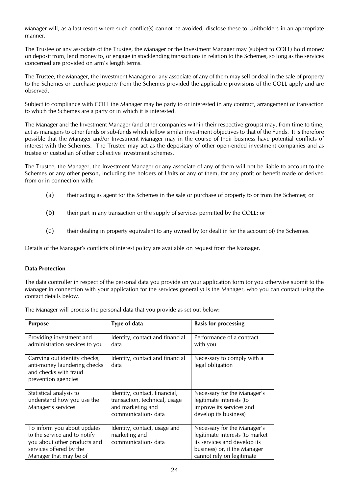Manager will, as a last resort where such conflict(s) cannot be avoided, disclose these to Unitholders in an appropriate manner.

The Trustee or any associate of the Trustee, the Manager or the Investment Manager may (subject to COLL) hold money on deposit from, lend money to, or engage in stocklending transactions in relation to the Schemes, so long as the services concerned are provided on arm's length terms.

The Trustee, the Manager, the Investment Manager or any associate of any of them may sell or deal in the sale of property to the Schemes or purchase property from the Schemes provided the applicable provisions of the COLL apply and are observed.

Subject to compliance with COLL the Manager may be party to or interested in any contract, arrangement or transaction to which the Schemes are a party or in which it is interested.

The Manager and the Investment Manager (and other companies within their respective groups) may, from time to time, act as managers to other funds or sub-funds which follow similar investment objectives to that of the Funds. It is therefore possible that the Manager and/or Investment Manager may in the course of their business have potential conflicts of interest with the Schemes. The Trustee may act as the depositary of other open-ended investment companies and as trustee or custodian of other collective investment schemes.

The Trustee, the Manager, the Investment Manager or any associate of any of them will not be liable to account to the Schemes or any other person, including the holders of Units or any of them, for any profit or benefit made or derived from or in connection with:

- (a) their acting as agent for the Schemes in the sale or purchase of property to or from the Schemes; or
- (b) their part in any transaction or the supply of services permitted by the COLL; or
- (c) their dealing in property equivalent to any owned by (or dealt in for the account of) the Schemes.

Details of the Manager's conflicts of interest policy are available on request from the Manager.

#### **Data Protection**

The data controller in respect of the personal data you provide on your application form (or you otherwise submit to the Manager in connection with your application for the services generally) is the Manager, who you can contact using the contact details below.

The Manager will process the personal data that you provide as set out below:

| <b>Purpose</b>                                                                                                                                   | Type of data                                                                                               | <b>Basis for processing</b>                                                                                                                                 |
|--------------------------------------------------------------------------------------------------------------------------------------------------|------------------------------------------------------------------------------------------------------------|-------------------------------------------------------------------------------------------------------------------------------------------------------------|
| Providing investment and<br>administration services to you                                                                                       | Identity, contact and financial<br>data                                                                    | Performance of a contract<br>with you                                                                                                                       |
| Carrying out identity checks,<br>anti-money laundering checks<br>and checks with fraud<br>prevention agencies                                    | Identity, contact and financial<br>data                                                                    | Necessary to comply with a<br>legal obligation                                                                                                              |
| Statistical analysis to<br>understand how you use the<br>Manager's services                                                                      | Identity, contact, financial,<br>transaction, technical, usage<br>and marketing and<br>communications data | Necessary for the Manager's<br>legitimate interests (to<br>improve its services and<br>develop its business)                                                |
| To inform you about updates<br>to the service and to notify<br>you about other products and<br>services offered by the<br>Manager that may be of | Identity, contact, usage and<br>marketing and<br>communications data                                       | Necessary for the Manager's<br>legitimate interests (to market<br>its services and develop its<br>business) or, if the Manager<br>cannot rely on legitimate |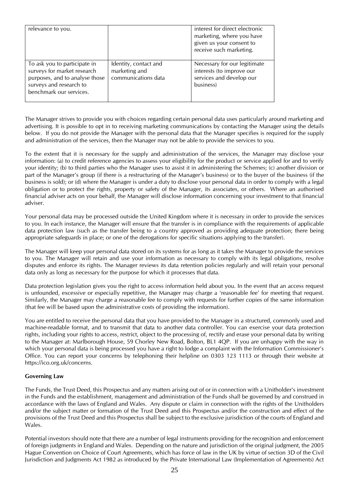| relevance to you.                                                                                                                                   |                                                               | interest for direct electronic<br>marketing, where you have<br>given us your consent to<br>receive such marketing. |
|-----------------------------------------------------------------------------------------------------------------------------------------------------|---------------------------------------------------------------|--------------------------------------------------------------------------------------------------------------------|
| To ask you to participate in<br>surveys for market research<br>purposes, and to analyse those<br>surveys and research to<br>benchmark our services. | Identity, contact and<br>marketing and<br>communications data | Necessary for our legitimate<br>interests (to improve our<br>services and develop our<br>business)                 |

The Manager strives to provide you with choices regarding certain personal data uses particularly around marketing and advertising. It is possible to opt in to receiving marketing communications by contacting the Manager using the details below. If you do not provide the Manager with the personal data that the Manager specifies is required for the supply and administration of the services, then the Manager may not be able to provide the services to you.

To the extent that it is necessary for the supply and administration of the services, the Manager may disclose your information: (a) to credit reference agencies to assess your eligibility for the product or service applied for and to verify your identity; (b) to third parties who the Manager uses to assist it in administering the Schemes; (c) another division or part of the Manager's group (if there is a restructuring of the Manager's business) or to the buyer of the business (if the business is sold); or (d) where the Manager is under a duty to disclose your personal data in order to comply with a legal obligation or to protect the rights, property or safety of the Manager, its associates, or others. Where an authorised financial adviser acts on your behalf, the Manager will disclose information concerning your investment to that financial adviser.

Your personal data may be processed outside the United Kingdom where it is necessary in order to provide the services to you. In each instance, the Manager will ensure that the transfer is in compliance with the requirements of applicable data protection law (such as the transfer being to a country approved as providing adequate protection; there being appropriate safeguards in place; or one of the derogations for specific situations applying to the transfer).

The Manager will keep your personal data stored on its systems for as long as it takes the Manager to provide the services to you. The Manager will retain and use your information as necessary to comply with its legal obligations, resolve disputes and enforce its rights. The Manager reviews its data retention policies regularly and will retain your personal data only as long as necessary for the purpose for which it processes that data.

Data protection legislation gives you the right to access information held about you. In the event that an access request is unfounded, excessive or especially repetitive, the Manager may charge a 'reasonable fee' for meeting that request. Similarly, the Manager may charge a reasonable fee to comply with requests for further copies of the same information (that fee will be based upon the administrative costs of providing the information).

You are entitled to receive the personal data that you have provided to the Manager in a structured, commonly used and machine-readable format, and to transmit that data to another data controller. You can exercise your data protection rights, including your rights to access, restrict, object to the processing of, rectify and erase your personal data by writing to the Manager at: Marlborough House, 59 Chorley New Road, Bolton, BL1 4QP. If you are unhappy with the way in which your personal data is being processed you have a right to lodge a complaint with the Information Commissioner's Office. You can report your concerns by telephoning their helpline on 0303 123 1113 or through their website at https://ico.org.uk/concerns.

#### **Governing Law**

The Funds, the Trust Deed, this Prospectus and any matters arising out of or in connection with a Unitholder's investment in the Funds and the establishment, management and administration of the Funds shall be governed by and construed in accordance with the laws of England and Wales. Any dispute or claim in connection with the rights of the Unitholders and/or the subject matter or formation of the Trust Deed and this Prospectus and/or the construction and effect of the provisions of the Trust Deed and this Prospectus shall be subject to the exclusive jurisdiction of the courts of England and Wales.

Potential investors should note that there are a number of legal instruments providing for the recognition and enforcement of foreign judgments in England and Wales. Depending on the nature and jurisdiction of the original judgment, the 2005 Hague Convention on Choice of Court Agreements, which has force of law in the UK by virtue of section 3D of the Civil Jurisdiction and Judgments Act 1982 as introduced by the Private International Law (Implementation of Agreements) Act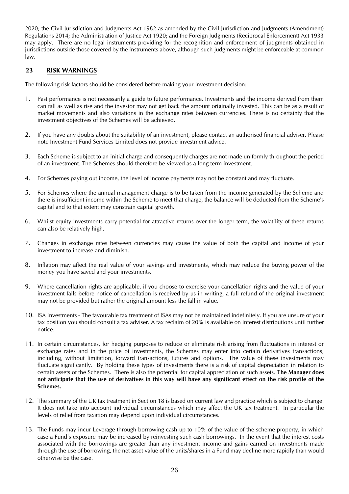2020; the Civil Jurisdiction and Judgments Act 1982 as amended by the Civil Jurisdiction and Judgments (Amendment) Regulations 2014; the Administration of Justice Act 1920; and the Foreign Judgments (Reciprocal Enforcement) Act 1933 may apply. There are no legal instruments providing for the recognition and enforcement of judgments obtained in jurisdictions outside those covered by the instruments above, although such judgments might be enforceable at common law.

## <span id="page-25-0"></span>**23 RISK WARNINGS**

The following risk factors should be considered before making your investment decision:

- 1. Past performance is not necessarily a guide to future performance. Investments and the income derived from them can fall as well as rise and the investor may not get back the amount originally invested. This can be as a result of market movements and also variations in the exchange rates between currencies. There is no certainty that the investment objectives of the Schemes will be achieved.
- 2. If you have any doubts about the suitability of an investment, please contact an authorised financial adviser. Please note Investment Fund Services Limited does not provide investment advice.
- 3. Each Scheme is subject to an initial charge and consequently charges are not made uniformly throughout the period of an investment. The Schemes should therefore be viewed as a long term investment.
- 4. For Schemes paying out income, the level of income payments may not be constant and may fluctuate.
- 5. For Schemes where the annual management charge is to be taken from the income generated by the Scheme and there is insufficient income within the Scheme to meet that charge, the balance will be deducted from the Scheme's capital and to that extent may constrain capital growth.
- 6. Whilst equity investments carry potential for attractive returns over the longer term, the volatility of these returns can also be relatively high.
- 7. Changes in exchange rates between currencies may cause the value of both the capital and income of your investment to increase and diminish.
- 8. Inflation may affect the real value of your savings and investments, which may reduce the buying power of the money you have saved and your investments.
- 9. Where cancellation rights are applicable, if you choose to exercise your cancellation rights and the value of your investment falls before notice of cancellation is received by us in writing, a full refund of the original investment may not be provided but rather the original amount less the fall in value.
- 10. ISA Investments The favourable tax treatment of ISAs may not be maintained indefinitely. If you are unsure of your tax position you should consult a tax adviser. A tax reclaim of 20% is available on interest distributions until further notice.
- 11. In certain circumstances, for hedging purposes to reduce or eliminate risk arising from fluctuations in interest or exchange rates and in the price of investments, the Schemes may enter into certain derivatives transactions, including, without limitation, forward transactions, futures and options. The value of these investments may fluctuate significantly. By holding these types of investments there is a risk of capital depreciation in relation to certain assets of the Schemes. There is also the potential for capital appreciation of such assets. **The Manager does not anticipate that the use of derivatives in this way will have any significant effect on the risk profile of the Schemes.**
- 12. The summary of the UK tax treatment in Section 18 is based on current law and practice which is subject to change. It does not take into account individual circumstances which may affect the UK tax treatment. In particular the levels of relief from taxation may depend upon individual circumstances.
- 13. The Funds may incur Leverage through borrowing cash up to 10% of the value of the scheme property, in which case a Fund's exposure may be increased by reinvesting such cash borrowings. In the event that the interest costs associated with the borrowings are greater than any investment income and gains earned on investments made through the use of borrowing, the net asset value of the units/shares in a Fund may decline more rapidly than would otherwise be the case.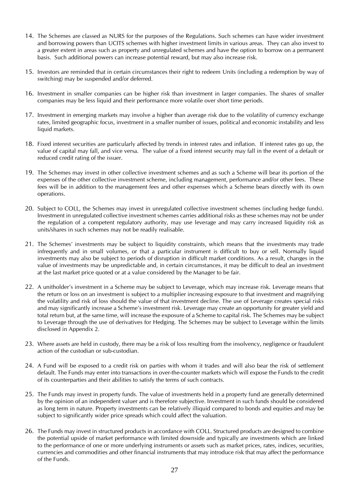- 14. The Schemes are classed as NURS for the purposes of the Regulations. Such schemes can have wider investment and borrowing powers than UCITS schemes with higher investment limits in various areas. They can also invest to a greater extent in areas such as property and unregulated schemes and have the option to borrow on a permanent basis. Such additional powers can increase potential reward, but may also increase risk.
- 15. Investors are reminded that in certain circumstances their right to redeem Units (including a redemption by way of switching) may be suspended and/or deferred.
- 16. Investment in smaller companies can be higher risk than investment in larger companies. The shares of smaller companies may be less liquid and their performance more volatile over short time periods.
- 17. Investment in emerging markets may involve a higher than average risk due to the volatility of currency exchange rates, limited geographic focus, investment in a smaller number of issues, political and economic instability and less liquid markets.
- 18. Fixed interest securities are particularly affected by trends in interest rates and inflation. If interest rates go up, the value of capital may fall, and vice versa. The value of a fixed interest security may fall in the event of a default or reduced credit rating of the issuer.
- 19. The Schemes may invest in other collective investment schemes and as such a Scheme will bear its portion of the expenses of the other collective investment scheme, including management, performance and/or other fees. These fees will be in addition to the management fees and other expenses which a Scheme bears directly with its own operations.
- 20. Subject to COLL, the Schemes may invest in unregulated collective investment schemes (including hedge funds). Investment in unregulated collective investment schemes carries additional risks as these schemes may not be under the regulation of a competent regulatory authority, may use leverage and may carry increased liquidity risk as units/shares in such schemes may not be readily realisable.
- 21. The Schemes' investments may be subject to liquidity constraints, which means that the investments may trade infrequently and in small volumes, or that a particular instrument is difficult to buy or sell. Normally liquid investments may also be subject to periods of disruption in difficult market conditions. As a result, changes in the value of investments may be unpredictable and, in certain circumstances, it may be difficult to deal an investment at the last market price quoted or at a value considered by the Manager to be fair.
- 22. A unitholder's investment in a Scheme may be subject to Leverage, which may increase risk. Leverage means that the return or loss on an investment is subject to a multiplier increasing exposure to that investment and magnifying the volatility and risk of loss should the value of that investment decline. The use of Leverage creates special risks and may significantly increase a Scheme's investment risk. Leverage may create an opportunity for greater yield and total return but, at the same time, will increase the exposure of a Scheme to capital risk. The Schemes may be subject to Leverage through the use of derivatives for Hedging. The Schemes may be subject to Leverage within the limits disclosed in Appendix 2.
- 23. Where assets are held in custody, there may be a risk of loss resulting from the insolvency, negligence or fraudulent action of the custodian or sub-custodian.
- 24. A Fund will be exposed to a credit risk on parties with whom it trades and will also bear the risk of settlement default. The Funds may enter into transactions in over-the-counter markets which will expose the Funds to the credit of its counterparties and their abilities to satisfy the terms of such contracts.
- 25. The Funds may invest in property funds. The value of investments held in a property fund are generally determined by the opinion of an independent valuer and is therefore subjective. Investment in such funds should be considered as long term in nature. Property investments can be relatively illiquid compared to bonds and equities and may be subject to significantly wider price spreads which could affect the valuation.
- 26. The Funds may invest in structured products in accordance with COLL. Structured products are designed to combine the potential upside of market performance with limited downside and typically are investments which are linked to the performance of one or more underlying instruments or assets such as market prices, rates, indices, securities, currencies and commodities and other financial instruments that may introduce risk that may affect the performance of the Funds.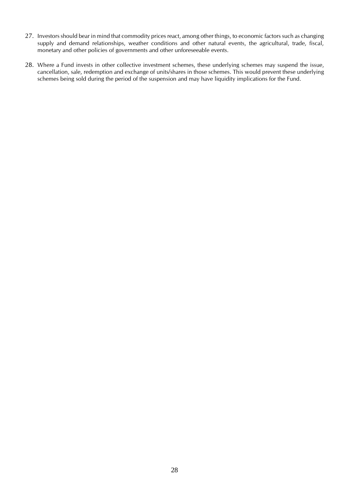- 27. Investors should bear in mind that commodity prices react, among other things, to economic factors such as changing supply and demand relationships, weather conditions and other natural events, the agricultural, trade, fiscal, monetary and other policies of governments and other unforeseeable events.
- 28. Where a Fund invests in other collective investment schemes, these underlying schemes may suspend the issue, cancellation, sale, redemption and exchange of units/shares in those schemes. This would prevent these underlying schemes being sold during the period of the suspension and may have liquidity implications for the Fund.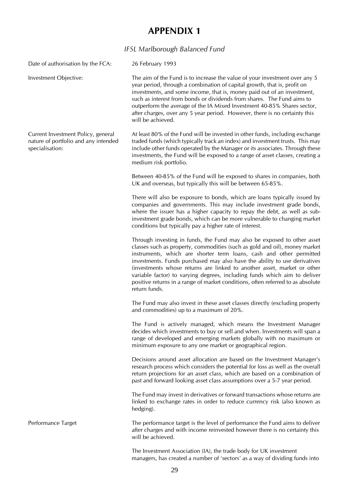## *IFSL Marlborough Balanced Fund*

<span id="page-28-1"></span><span id="page-28-0"></span>Date of authorisation by the FCA: 26 February 1993

Current Investment Policy, general nature of portfolio and any intended specialisation:

Investment Objective: The aim of the Fund is to increase the value of your investment over any 5 year period, through a combination of capital growth, that is, profit on investments, and some income, that is, money paid out of an investment, such as interest from bonds or dividends from shares. The Fund aims to outperform the average of the IA Mixed Investment 40-85% Shares sector, after charges, over any 5 year period. However, there is no certainty this will be achieved.

> At least 80% of the Fund will be invested in other funds, including exchange traded funds (which typically track an index) and investment trusts. This may include other funds operated by the Manager or its associates. Through these investments, the Fund will be exposed to a range of asset classes, creating a medium risk portfolio.

> Between 40-85% of the Fund will be exposed to shares in companies, both UK and overseas, but typically this will be between 65-85%.

> There will also be exposure to bonds, which are loans typically issued by companies and governments. This may include investment grade bonds, where the issuer has a higher capacity to repay the debt, as well as subinvestment grade bonds, which can be more vulnerable to changing market conditions but typically pay a higher rate of interest.

> Through investing in funds, the Fund may also be exposed to other asset classes such as property, commodities (such as gold and oil), money market instruments, which are shorter term loans, cash and other permitted investments. Funds purchased may also have the ability to use derivatives (investments whose returns are linked to another asset, market or other variable factor) to varying degrees, including funds which aim to deliver positive returns in a range of market conditions, often referred to as absolute return funds.

> The Fund may also invest in these asset classes directly (excluding property and commodities) up to a maximum of 20%.

> The Fund is actively managed, which means the Investment Manager decides which investments to buy or sell and when. Investments will span a range of developed and emerging markets globally with no maximum or minimum exposure to any one market or geographical region.

> Decisions around asset allocation are based on the Investment Manager's research process which considers the potential for loss as well as the overall return projections for an asset class, which are based on a combination of past and forward looking asset class assumptions over a 5-7 year period.

> The Fund may invest in derivatives or forward transactions whose returns are linked to exchange rates in order to reduce currency risk (also known as hedging).

Performance Target The performance target is the level of performance the Fund aims to deliver after charges and with income reinvested however there is no certainty this will be achieved.

> The Investment Association (IA), the trade body for UK investment managers, has created a number of 'sectors' as a way of dividing funds into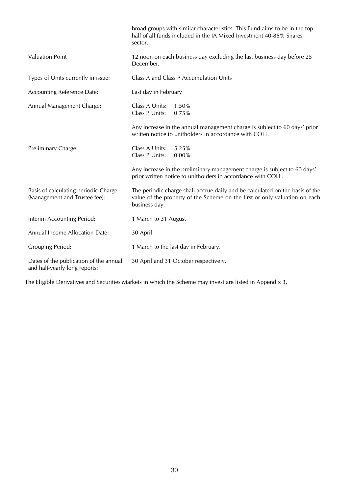|                                                                         | broad groups with similar characteristics. This Fund aims to be in the top<br>half of all funds included in the IA Mixed Investment 40-85% Shares<br>sector.                |
|-------------------------------------------------------------------------|-----------------------------------------------------------------------------------------------------------------------------------------------------------------------------|
| <b>Valuation Point</b>                                                  | 12 noon on each business day excluding the last business day before 25<br>December.                                                                                         |
| Types of Units currently in issue:                                      | Class A and Class P Accumulation Units                                                                                                                                      |
| <b>Accounting Reference Date:</b>                                       | Last day in February                                                                                                                                                        |
| Annual Management Charge:                                               | Class A Units:<br>1.50%<br>Class P Units:<br>0.75%                                                                                                                          |
|                                                                         | Any increase in the annual management charge is subject to 60 days' prior<br>written notice to unitholders in accordance with COLL.                                         |
| Preliminary Charge:                                                     | Class A Units:<br>5.25%<br>Class P Units:<br>0.00%                                                                                                                          |
|                                                                         | Any increase in the preliminary management charge is subject to 60 days'<br>prior written notice to unitholders in accordance with COLL.                                    |
| Basis of calculating periodic Charge<br>(Management and Trustee fee):   | The periodic charge shall accrue daily and be calculated on the basis of the<br>value of the property of the Scheme on the first or only valuation on each<br>business day. |
| Interim Accounting Period:                                              | 1 March to 31 August                                                                                                                                                        |
| Annual Income Allocation Date:                                          | 30 April                                                                                                                                                                    |
| <b>Grouping Period:</b>                                                 | 1 March to the last day in February.                                                                                                                                        |
| Dates of the publication of the annual<br>and half-yearly long reports: | 30 April and 31 October respectively.                                                                                                                                       |

The Eligible Derivatives and Securities Markets in which the Scheme may invest are listed in Appendix 3.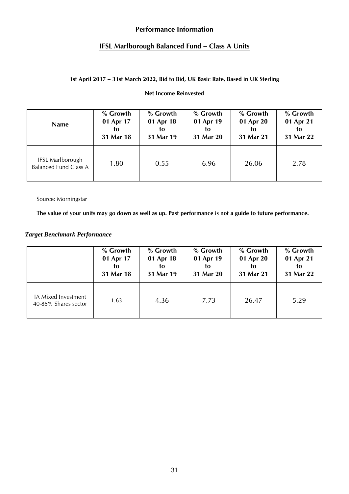## **Performance Information**

## **IFSL Marlborough Balanced Fund – Class A Units**

## **1st April 2017 – 31st March 2022, Bid to Bid, UK Basic Rate, Based in UK Sterling**

#### **Net Income Reinvested**

| <b>Name</b>                                             | % Growth  | % Growth  | % Growth  | % Growth  | % Growth  |
|---------------------------------------------------------|-----------|-----------|-----------|-----------|-----------|
|                                                         | 01 Apr 17 | 01 Apr 18 | 01 Apr 19 | 01 Apr 20 | 01 Apr 21 |
|                                                         | to        | to        | to        | to        | to        |
|                                                         | 31 Mar 18 | 31 Mar 19 | 31 Mar 20 | 31 Mar 21 | 31 Mar 22 |
| <b>IFSL Marlborough</b><br><b>Balanced Fund Class A</b> | 1.80      | 0.55      | $-6.96$   | 26.06     | 2.78      |

Source: Morningstar

**The value of your units may go down as well as up. Past performance is not a guide to future performance.**

## *Target Benchmark Performance*

|                                             | % Growth  | % Growth  | % Growth  | % Growth  | % Growth  |
|---------------------------------------------|-----------|-----------|-----------|-----------|-----------|
|                                             | 01 Apr 17 | 01 Apr 18 | 01 Apr 19 | 01 Apr 20 | 01 Apr 21 |
|                                             | to        | to        | to        | to        | to        |
|                                             | 31 Mar 18 | 31 Mar 19 | 31 Mar 20 | 31 Mar 21 | 31 Mar 22 |
| IA Mixed Investment<br>40-85% Shares sector | 1.63      | 4.36      | $-7.73$   | 26.47     | 5.29      |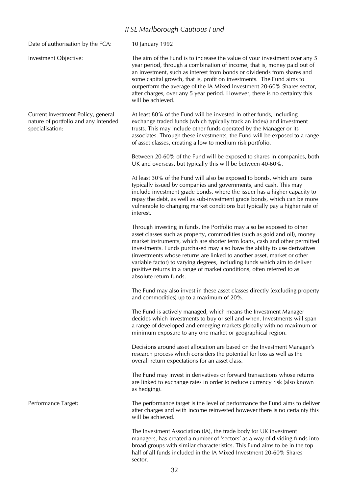## *IFSL Marlborough Cautious Fund*

will be achieved.

<span id="page-31-0"></span>Date of authorisation by the FCA: 10 January 1992

Current Investment Policy, general nature of portfolio and any intended specialisation:

Investment Objective: The aim of the Fund is to increase the value of your investment over any 5 year period, through a combination of income, that is, money paid out of an investment, such as interest from bonds or dividends from shares and some capital growth, that is, profit on investments. The Fund aims to outperform the average of the IA Mixed Investment 20-60% Shares sector, after charges, over any 5 year period. However, there is no certainty this

> At least 80% of the Fund will be invested in other funds, including exchange traded funds (which typically track an index) and investment trusts. This may include other funds operated by the Manager or its associates. Through these investments, the Fund will be exposed to a range of asset classes, creating a low to medium risk portfolio.

> Between 20-60% of the Fund will be exposed to shares in companies, both UK and overseas, but typically this will be between 40-60%.

> At least 30% of the Fund will also be exposed to bonds, which are loans typically issued by companies and governments, and cash. This may include investment grade bonds, where the issuer has a higher capacity to repay the debt, as well as sub-investment grade bonds, which can be more vulnerable to changing market conditions but typically pay a higher rate of interest.

> Through investing in funds, the Portfolio may also be exposed to other asset classes such as property, commodities (such as gold and oil), money market instruments, which are shorter term loans, cash and other permitted investments. Funds purchased may also have the ability to use derivatives (investments whose returns are linked to another asset, market or other variable factor) to varying degrees, including funds which aim to deliver positive returns in a range of market conditions, often referred to as absolute return funds.

> The Fund may also invest in these asset classes directly (excluding property and commodities) up to a maximum of 20%.

> The Fund is actively managed, which means the Investment Manager decides which investments to buy or sell and when. Investments will span a range of developed and emerging markets globally with no maximum or minimum exposure to any one market or geographical region.

Decisions around asset allocation are based on the Investment Manager's research process which considers the potential for loss as well as the overall return expectations for an asset class.

The Fund may invest in derivatives or forward transactions whose returns are linked to exchange rates in order to reduce currency risk (also known as hedging).

Performance Target: The performance target is the level of performance the Fund aims to deliver after charges and with income reinvested however there is no certainty this will be achieved.

> The Investment Association (IA), the trade body for UK investment managers, has created a number of 'sectors' as a way of dividing funds into broad groups with similar characteristics. This Fund aims to be in the top half of all funds included in the IA Mixed Investment 20-60% Shares sector.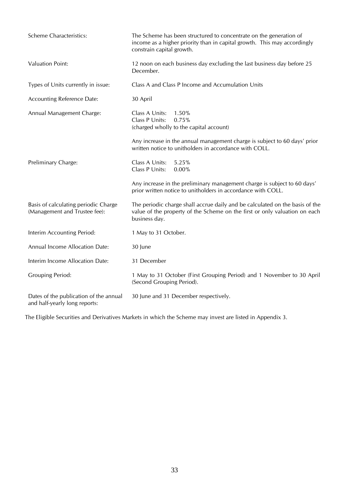| <b>Scheme Characteristics:</b>                                          | The Scheme has been structured to concentrate on the generation of<br>income as a higher priority than in capital growth. This may accordingly<br>constrain capital growth. |
|-------------------------------------------------------------------------|-----------------------------------------------------------------------------------------------------------------------------------------------------------------------------|
| <b>Valuation Point:</b>                                                 | 12 noon on each business day excluding the last business day before 25<br>December.                                                                                         |
| Types of Units currently in issue:                                      | Class A and Class P Income and Accumulation Units                                                                                                                           |
| <b>Accounting Reference Date:</b>                                       | 30 April                                                                                                                                                                    |
| Annual Management Charge:                                               | Class A Units:<br>1.50%<br>Class P Units:<br>0.75%<br>(charged wholly to the capital account)                                                                               |
|                                                                         | Any increase in the annual management charge is subject to 60 days' prior<br>written notice to unitholders in accordance with COLL.                                         |
| Preliminary Charge:                                                     | Class A Units:<br>5.25%<br>Class P Units:<br>0.00%                                                                                                                          |
|                                                                         | Any increase in the preliminary management charge is subject to 60 days'<br>prior written notice to unitholders in accordance with COLL.                                    |
| Basis of calculating periodic Charge<br>(Management and Trustee fee):   | The periodic charge shall accrue daily and be calculated on the basis of the<br>value of the property of the Scheme on the first or only valuation on each<br>business day. |
| Interim Accounting Period:                                              | 1 May to 31 October.                                                                                                                                                        |
| Annual Income Allocation Date:                                          | 30 June                                                                                                                                                                     |
| Interim Income Allocation Date:                                         | 31 December                                                                                                                                                                 |
| <b>Grouping Period:</b>                                                 | 1 May to 31 October (First Grouping Period) and 1 November to 30 April<br>(Second Grouping Period).                                                                         |
| Dates of the publication of the annual<br>and half-yearly long reports: | 30 June and 31 December respectively.                                                                                                                                       |

The Eligible Securities and Derivatives Markets in which the Scheme may invest are listed in Appendix 3.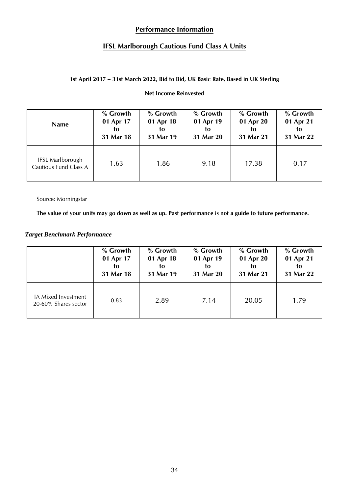# **Performance Information**

# **IFSL Marlborough Cautious Fund Class A Units**

## **1st April 2017 – 31st March 2022, Bid to Bid, UK Basic Rate, Based in UK Sterling**

#### **Net Income Reinvested**

| <b>Name</b>                                      | % Growth  | % Growth  | % Growth  | % Growth  | % Growth  |
|--------------------------------------------------|-----------|-----------|-----------|-----------|-----------|
|                                                  | 01 Apr 17 | 01 Apr 18 | 01 Apr 19 | 01 Apr 20 | 01 Apr 21 |
|                                                  | to        | to        | to        | to        | to        |
|                                                  | 31 Mar 18 | 31 Mar 19 | 31 Mar 20 | 31 Mar 21 | 31 Mar 22 |
| <b>IFSL Marlborough</b><br>Cautious Fund Class A | 1.63      | $-1.86$   | $-9.18$   | 17.38     | $-0.17$   |

Source: Morningstar

**The value of your units may go down as well as up. Past performance is not a guide to future performance.**

## *Target Benchmark Performance*

|                                             | % Growth  | % Growth  | % Growth  | % Growth  | % Growth  |
|---------------------------------------------|-----------|-----------|-----------|-----------|-----------|
|                                             | 01 Apr 17 | 01 Apr 18 | 01 Apr 19 | 01 Apr 20 | 01 Apr 21 |
|                                             | to        | to        | to        | to        | to        |
|                                             | 31 Mar 18 | 31 Mar 19 | 31 Mar 20 | 31 Mar 21 | 31 Mar 22 |
| IA Mixed Investment<br>20-60% Shares sector | 0.83      | 2.89      | $-7.14$   | 20.05     | 1.79      |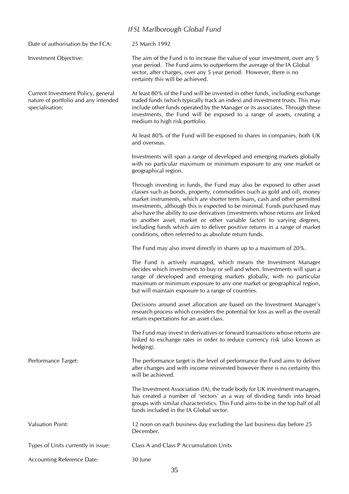### *IFSL Marlborough Global Fund*

<span id="page-34-0"></span>Date of authorisation by the FCA: 25 March 1992 Investment Objective: The aim of the Fund is to increase the value of your investment, over any 5 year period. The Fund aims to outperform the average of the IA Global sector, after charges, over any 5 year period. However, there is no certainty this will be achieved. Current Investment Policy, general nature of portfolio and any intended specialisation: At least 80% of the Fund will be invested in other funds, including exchange traded funds (which typically track an index) and investment trusts. This may include other funds operated by the Manager or its associates. Through these investments, the Fund will be exposed to a range of assets, creating a medium to high risk portfolio. At least 80% of the Fund will be exposed to shares in companies, both UK and overseas. Investments will span a range of developed and emerging markets globally with no particular maximum or minimum exposure to any one market or geographical region. Through investing in funds, the Fund may also be exposed to other asset classes such as bonds, property, commodities (such as gold and oil), money market instruments, which are shorter term loans, cash and other permitted investments, although this is expected to be minimal. Funds purchased may also have the ability to use derivatives (investments whose returns are linked to another asset, market or other variable factor) to varying degrees, including funds which aim to deliver positive returns in a range of market conditions, often referred to as absolute return funds. The Fund may also invest directly in shares up to a maximum of 20%. The Fund is actively managed, which means the Investment Manager decides which investments to buy or sell and when. Investments will span a range of developed and emerging markets globally, with no particular maximum or minimum exposure to any one market or geographical region, but will maintain exposure to a range of countries. Decisions around asset allocation are based on the Investment Manager's research process which considers the potential for loss as well as the overall return expectations for an asset class. The Fund may invest in derivatives or forward transactions whose returns are linked to exchange rates in order to reduce currency risk (also known as hedging). Performance Target: The performance target is the level of performance the Fund aims to deliver after changes and with income reinvested however there is no certainty this will be achieved. The Investment Association (IA), the trade body for UK investment managers, has created a number of 'sectors' as a way of dividing funds into broad groups with similar characteristics. This Fund aims to be in the top half of all funds included in the IA Global sector. Valuation Point: 12 noon on each business day excluding the last business day before 25 December. Types of Units currently in issue: Class A and Class P Accumulation Units Accounting Reference Date: 30 June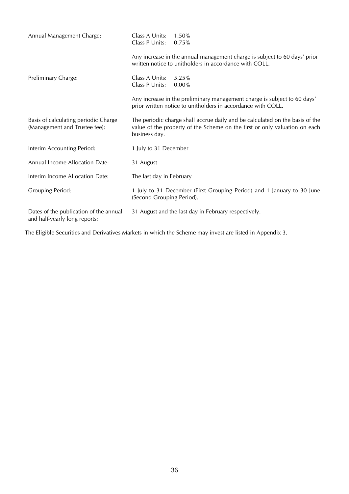| Annual Management Charge:                                               | Class A Units:<br>Class P Units: | $1.50\%$<br>0.75%                                                                                                                                          |
|-------------------------------------------------------------------------|----------------------------------|------------------------------------------------------------------------------------------------------------------------------------------------------------|
|                                                                         |                                  | Any increase in the annual management charge is subject to 60 days' prior<br>written notice to unitholders in accordance with COLL.                        |
| Preliminary Charge:                                                     | Class A Units:<br>Class P Units: | 5.25%<br>0.00%                                                                                                                                             |
|                                                                         |                                  | Any increase in the preliminary management charge is subject to 60 days'<br>prior written notice to unitholders in accordance with COLL.                   |
| Basis of calculating periodic Charge<br>(Management and Trustee fee):   | business day.                    | The periodic charge shall accrue daily and be calculated on the basis of the<br>value of the property of the Scheme on the first or only valuation on each |
| Interim Accounting Period:                                              | 1 July to 31 December            |                                                                                                                                                            |
| Annual Income Allocation Date:                                          | 31 August                        |                                                                                                                                                            |
| Interim Income Allocation Date:                                         | The last day in February         |                                                                                                                                                            |
| <b>Grouping Period:</b>                                                 | (Second Grouping Period).        | 1 July to 31 December (First Grouping Period) and 1 January to 30 June                                                                                     |
| Dates of the publication of the annual<br>and half-yearly long reports: |                                  | 31 August and the last day in February respectively.                                                                                                       |

The Eligible Securities and Derivatives Markets in which the Scheme may invest are listed in Appendix 3.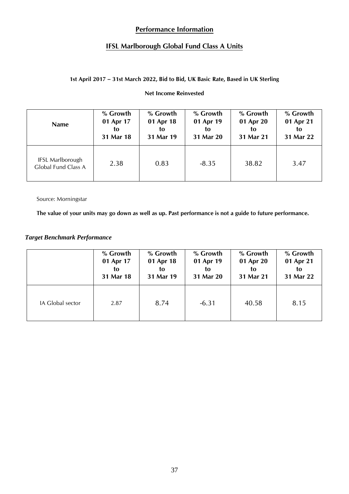# **Performance Information**

## **IFSL Marlborough Global Fund Class A Units**

## **1st April 2017 – 31st March 2022, Bid to Bid, UK Basic Rate, Based in UK Sterling**

#### **Net Income Reinvested**

| <b>Name</b>                                    | % Growth  | % Growth  | % Growth  | % Growth  | % Growth  |
|------------------------------------------------|-----------|-----------|-----------|-----------|-----------|
|                                                | 01 Apr 17 | 01 Apr 18 | 01 Apr 19 | 01 Apr 20 | 01 Apr 21 |
|                                                | to        | to        | to        | to        | to        |
|                                                | 31 Mar 18 | 31 Mar 19 | 31 Mar 20 | 31 Mar 21 | 31 Mar 22 |
| <b>IFSL Marlborough</b><br>Global Fund Class A | 2.38      | 0.83      | $-8.35$   | 38.82     | 3.47      |

Source: Morningstar

**The value of your units may go down as well as up. Past performance is not a guide to future performance.**

## *Target Benchmark Performance*

|                  | % Growth  | % Growth  | % Growth  | % Growth  | % Growth  |
|------------------|-----------|-----------|-----------|-----------|-----------|
|                  | 01 Apr 17 | 01 Apr 18 | 01 Apr 19 | 01 Apr 20 | 01 Apr 21 |
|                  | to        | to        | to        | to        | to        |
|                  | 31 Mar 18 | 31 Mar 19 | 31 Mar 20 | 31 Mar 21 | 31 Mar 22 |
| IA Global sector | 2.87      | 8.74      | $-6.31$   | 40.58     | 8.15      |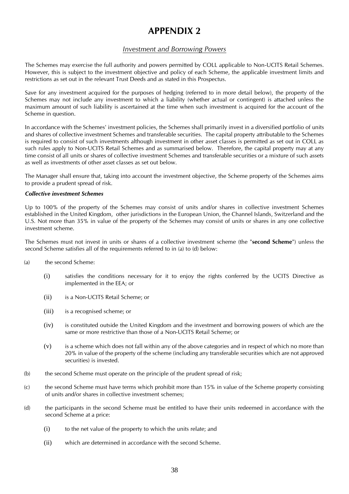## *Investment and Borrowing Powers*

<span id="page-37-1"></span><span id="page-37-0"></span>The Schemes may exercise the full authority and powers permitted by COLL applicable to Non-UCITS Retail Schemes. However, this is subject to the investment objective and policy of each Scheme, the applicable investment limits and restrictions as set out in the relevant Trust Deeds and as stated in this Prospectus.

Save for any investment acquired for the purposes of hedging (referred to in more detail below), the property of the Schemes may not include any investment to which a liability (whether actual or contingent) is attached unless the maximum amount of such liability is ascertained at the time when such investment is acquired for the account of the Scheme in question.

In accordance with the Schemes' investment policies, the Schemes shall primarily invest in a diversified portfolio of units and shares of collective investment Schemes and transferable securities. The capital property attributable to the Schemes is required to consist of such investments although investment in other asset classes is permitted as set out in COLL as such rules apply to Non-UCITS Retail Schemes and as summarised below. Therefore, the capital property may at any time consist of all units or shares of collective investment Schemes and transferable securities or a mixture of such assets as well as investments of other asset classes as set out below.

The Manager shall ensure that, taking into account the investment objective, the Scheme property of the Schemes aims to provide a prudent spread of risk.

#### *Collective investment Schemes*

Up to 100% of the property of the Schemes may consist of units and/or shares in collective investment Schemes established in the United Kingdom, other jurisdictions in the European Union, the Channel Islands, Switzerland and the U.S. Not more than 35% in value of the property of the Schemes may consist of units or shares in any one collective investment scheme.

The Schemes must not invest in units or shares of a collective investment scheme (the "**second Scheme**") unless the second Scheme satisfies all of the requirements referred to in (a) to (d) below:

- (a) the second Scheme:
	- (i) satisfies the conditions necessary for it to enjoy the rights conferred by the UCITS Directive as implemented in the EEA; or
	- (ii) is a Non-UCITS Retail Scheme; or
	- (iii) is a recognised scheme; or
	- (iv) is constituted outside the United Kingdom and the investment and borrowing powers of which are the same or more restrictive than those of a Non-UCITS Retail Scheme; or
	- (v) is a scheme which does not fall within any of the above categories and in respect of which no more than 20% in value of the property of the scheme (including any transferable securities which are not approved securities) is invested.
- (b) the second Scheme must operate on the principle of the prudent spread of risk;
- (c) the second Scheme must have terms which prohibit more than 15% in value of the Scheme property consisting of units and/or shares in collective investment schemes;
- (d) the participants in the second Scheme must be entitled to have their units redeemed in accordance with the second Scheme at a price:
	- (i) to the net value of the property to which the units relate; and
	- (ii) which are determined in accordance with the second Scheme.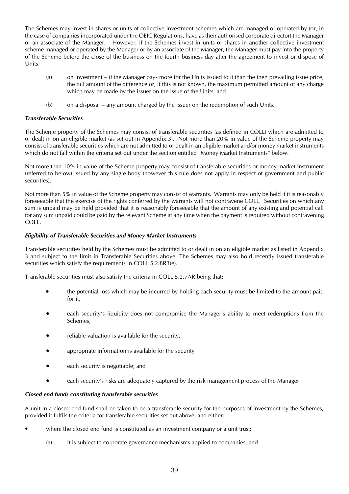The Schemes may invest in shares or units of collective investment schemes which are managed or operated by (or, in the case of companies incorporated under the OEIC Regulations, have as their authorised corporate director) the Manager or an associate of the Manager. However, if the Schemes invest in units or shares in another collective investment scheme managed or operated by the Manager or by an associate of the Manager, the Manager must pay into the property of the Scheme before the close of the business on the fourth business day after the agreement to invest or dispose of Units:

- (a) on investment if the Manager pays more for the Units issued to it than the then prevailing issue price, the full amount of the difference or, if this is not known, the maximum permitted amount of any charge which may be made by the issuer on the issue of the Units; and
- (b) on a disposal any amount charged by the issuer on the redemption of such Units.

#### *Transferable Securities*

The Scheme property of the Schemes may consist of transferable securities (as defined in COLL) which are admitted to or dealt in on an eligible market (as set out in Appendix 3). Not more than 20% in value of the Scheme property may consist of transferable securities which are not admitted to or dealt in an eligible market and/or money market instruments which do not fall within the criteria set out under the section entitled "Money Market Instruments" below.

Not more than 10% in value of the Scheme property may consist of transferable securities or money market instrument (referred to below) issued by any single body (however this rule does not apply in respect of government and public securities).

Not more than 5% in value of the Scheme property may consist of warrants. Warrants may only be held if it is reasonably foreseeable that the exercise of the rights conferred by the warrants will not contravene COLL. Securities on which any sum is unpaid may be held provided that it is reasonably foreseeable that the amount of any existing and potential call for any sum unpaid could be paid by the relevant Scheme at any time when the payment is required without contravening COLL.

#### *Eligibility of Transferable Securities and Money Market Instruments*

Transferable securities held by the Schemes must be admitted to or dealt in on an eligible market as listed in Appendix 3 and subject to the limit in Transferable Securities above. The Schemes may also hold recently issued transferable securities which satisfy the requirements in COLL 5.2.8R3(e).

Transferable securities must also satisfy the criteria in COLL 5.2.7AR being that;

- the potential loss which may be incurred by holding each security must be limited to the amount paid for it,
- each security's liquidity does not compromise the Manager's ability to meet redemptions from the Schemes,
- reliable valuation is available for the security,
- appropriate information is available for the security
- each security is negotiable; and
- each security's risks are adequately captured by the risk management process of the Manager

#### *Closed end funds constituting transferable securities*

A unit in a closed end fund shall be taken to be a transferable security for the purposes of investment by the Schemes, provided it fulfils the criteria for transferable securities set out above, and either:

- where the closed end fund is constituted as an investment company or a unit trust:
	- (a) it is subject to corporate governance mechanisms applied to companies; and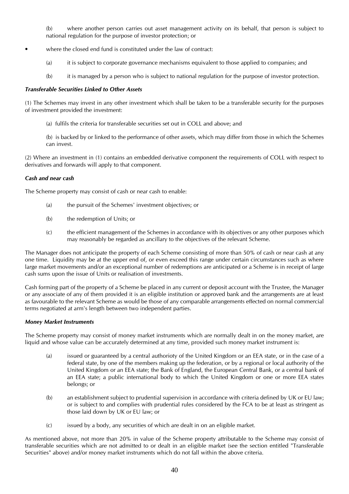(b) where another person carries out asset management activity on its behalf, that person is subject to national regulation for the purpose of investor protection; or

- where the closed end fund is constituted under the law of contract:
	- (a) it is subject to corporate governance mechanisms equivalent to those applied to companies; and
	- (b) it is managed by a person who is subject to national regulation for the purpose of investor protection.

#### *Transferable Securities Linked to Other Assets*

(1) The Schemes may invest in any other investment which shall be taken to be a transferable security for the purposes of investment provided the investment:

- (a) fulfils the criteria for transferable securities set out in COLL and above; and
- (b) is backed by or linked to the performance of other assets, which may differ from those in which the Schemes can invest.

(2) Where an investment in (1) contains an embedded derivative component the requirements of COLL with respect to derivatives and forwards will apply to that component.

#### *Cash and near cash*

The Scheme property may consist of cash or near cash to enable:

- (a) the pursuit of the Schemes' investment objectives; or
- (b) the redemption of Units; or
- (c) the efficient management of the Schemes in accordance with its objectives or any other purposes which may reasonably be regarded as ancillary to the objectives of the relevant Scheme.

The Manager does not anticipate the property of each Scheme consisting of more than 50% of cash or near cash at any one time. Liquidity may be at the upper end of, or even exceed this range under certain circumstances such as where large market movements and/or an exceptional number of redemptions are anticipated or a Scheme is in receipt of large cash sums upon the issue of Units or realisation of investments.

Cash forming part of the property of a Scheme be placed in any current or deposit account with the Trustee, the Manager or any associate of any of them provided it is an eligible institution or approved bank and the arrangements are at least as favourable to the relevant Scheme as would be those of any comparable arrangements effected on normal commercial terms negotiated at arm's length between two independent parties.

#### *Money Market Instruments*

The Scheme property may consist of money market instruments which are normally dealt in on the money market, are liquid and whose value can be accurately determined at any time, provided such money market instrument is:

- (a) issued or guaranteed by a central authorioty of the United Kingdom or an EEA state, or in the case of a federal state, by one of the members making up the federation, or by a regional or local authority of the United Kingdom or an EEA state; the Bank of England, the European Central Bank, or a central bank of an EEA state; a public international body to which the United Kingdom or one or more EEA states belongs; or
- (b) an establishment subject to prudential supervision in accordance with criteria defined by UK or EU law; or is subject to and complies with prudential rules considered by the FCA to be at least as stringent as those laid down by UK or EU law; or
- (c) issued by a body, any securities of which are dealt in on an eligible market.

As mentioned above, not more than 20% in value of the Scheme property attributable to the Scheme may consist of transferable securities which are not admitted to or dealt in an eligible market (see the section entitled "Transferable Securities" above) and/or money market instruments which do not fall within the above criteria.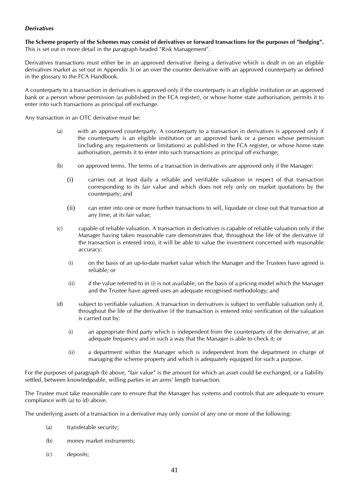#### *Derivatives*

**The Scheme property of the Schemes may consist of derivatives or forward transactions for the purposes of "hedging".** This is set out in more detail in the paragraph headed "Risk Management".

Derivatives transactions must either be in an approved derivative (being a derivative which is dealt in on an eligible derivatives market as set out in Appendix 3) or an over the counter derivative with an approved counterparty as defined in the glossary to the FCA Handbook.

A counterparty to a transaction in derivatives is approved only if the counterparty is an eligible institution or an approved bank or a person whose permission (as published in the FCA register), or whose home state authorisation, permits it to enter into such transactions as principal off exchange.

Any transaction in an OTC derivative must be:

- (a) with an approved counterparty. A counterparty to a transaction in derivatives is approved only if the counterparty is an eligible institution or an approved bank or a person whose permission (including any requirements or limitations) as published in the FCA register, or whose home state authorisation, permits it to enter into such transactions as principal off exchange;
- (b) on approved terms. The terms of a transaction in derivatives are approved only if the Manager:
	- (i) carries out at least daily a reliable and verifiable valuation in respect of that transaction corresponding to its fair value and which does not rely only on market quotations by the counterparty; and
	- (ii) can enter into one or more further transactions to sell, liquidate or close out that transaction at any time, at its fair value;
- (c) capable of reliable valuation. A transaction in derivatives is capable of reliable valuation only if the Manager having taken reasonable care demonstrates that, throughout the life of the derivative (if the transaction is entered into), it will be able to value the investment concerned with reasonable accuracy:
	- (i) on the basis of an up-to-date market value which the Manager and the Trustees have agreed is reliable; or
	- (ii) if the value referred to in (i) is not available, on the basis of a pricing model which the Manager and the Trustee have agreed uses an adequate recognised methodology; and
- (d) subject to verifiable valuation. A transaction in derivatives is subject to verifiable valuation only if, throughout the life of the derivative (if the transaction is entered into) verification of the valuation is carried out by:
	- (i) an appropriate third party which is independent from the counterparty of the derivative, at an adequate frequency and in such a way that the Manager is able to check it; or
	- (ii) a department within the Manager which is independent from the department in charge of managing the scheme property and which is adequately equipped for such a purpose.

For the purposes of paragraph (b) above, "fair value" is the amount for which an asset could be exchanged, or a liability settled, between knowledgeable, willing parties in an arms' length transaction.

The Trustee must take reasonable care to ensure that the Manager has systems and controls that are adequate to ensure compliance with (a) to (d) above.

The underlying assets of a transaction in a derivative may only consist of any one or more of the following:

- (a) transferable security;
- (b) money market instruments;
- (c) deposits;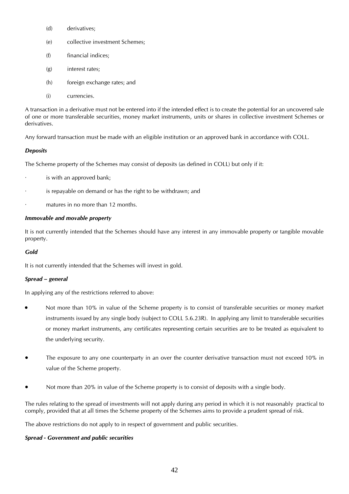- (d) derivatives;
- (e) collective investment Schemes;
- (f) financial indices;
- (g) interest rates;
- (h) foreign exchange rates; and
- (i) currencies.

A transaction in a derivative must not be entered into if the intended effect is to create the potential for an uncovered sale of one or more transferable securities, money market instruments, units or shares in collective investment Schemes or derivatives.

Any forward transaction must be made with an eligible institution or an approved bank in accordance with COLL.

### *Deposits*

The Scheme property of the Schemes may consist of deposits (as defined in COLL) but only if it:

- is with an approved bank;
- is repayable on demand or has the right to be withdrawn; and
- matures in no more than 12 months.

### *Immovable and movable property*

It is not currently intended that the Schemes should have any interest in any immovable property or tangible movable property.

#### *Gold*

It is not currently intended that the Schemes will invest in gold.

## *Spread – general*

In applying any of the restrictions referred to above:

- Not more than 10% in value of the Scheme property is to consist of transferable securities or money market instruments issued by any single body (subject to COLL 5.6.23R). In applying any limit to transferable securities or money market instruments, any certificates representing certain securities are to be treated as equivalent to the underlying security.
- The exposure to any one counterparty in an over the counter derivative transaction must not exceed 10% in value of the Scheme property.
- Not more than 20% in value of the Scheme property is to consist of deposits with a single body.

The rules relating to the spread of investments will not apply during any period in which it is not reasonably practical to comply, provided that at all times the Scheme property of the Schemes aims to provide a prudent spread of risk.

The above restrictions do not apply to in respect of government and public securities.

#### *Spread - Government and public securities*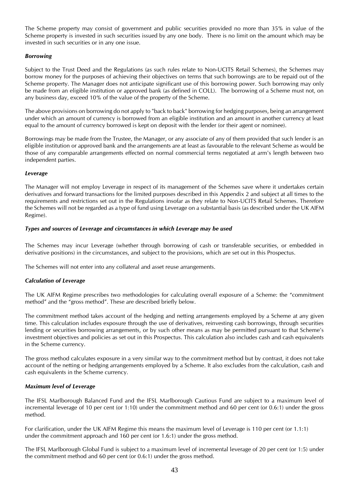The Scheme property may consist of government and public securities provided no more than 35% in value of the Scheme property is invested in such securities issued by any one body. There is no limit on the amount which may be invested in such securities or in any one issue.

#### *Borrowing*

Subject to the Trust Deed and the Regulations (as such rules relate to Non-UCITS Retail Schemes), the Schemes may borrow money for the purposes of achieving their objectives on terms that such borrowings are to be repaid out of the Scheme property. The Manager does not anticipate significant use of this borrowing power. Such borrowing may only be made from an eligible institution or approved bank (as defined in COLL). The borrowing of a Scheme must not, on any business day, exceed 10% of the value of the property of the Scheme.

The above provisions on borrowing do not apply to "back to back" borrowing for hedging purposes, being an arrangement under which an amount of currency is borrowed from an eligible institution and an amount in another currency at least equal to the amount of currency borrowed is kept on deposit with the lender (or their agent or nominee).

Borrowings may be made from the Trustee, the Manager, or any associate of any of them provided that such lender is an eligible institution or approved bank and the arrangements are at least as favourable to the relevant Scheme as would be those of any comparable arrangements effected on normal commercial terms negotiated at arm's length between two independent parties.

#### *Leverage*

The Manager will not employ Leverage in respect of its management of the Schemes save where it undertakes certain derivatives and forward transactions for the limited purposes described in this Appendix 2 and subject at all times to the requirements and restrictions set out in the Regulations insofar as they relate to Non-UCITS Retail Schemes. Therefore the Schemes will not be regarded as a type of fund using Leverage on a substantial basis (as described under the UK AIFM Regime).

#### *Types and sources of Leverage and circumstances in which Leverage may be used*

The Schemes may incur Leverage (whether through borrowing of cash or transferable securities, or embedded in derivative positions) in the circumstances, and subject to the provisions, which are set out in this Prospectus.

The Schemes will not enter into any collateral and asset reuse arrangements.

#### *Calculation of Leverage*

The UK AIFM Regime prescribes two methodologies for calculating overall exposure of a Scheme: the "commitment method" and the "gross method". These are described briefly below.

The commitment method takes account of the hedging and netting arrangements employed by a Scheme at any given time. This calculation includes exposure through the use of derivatives, reinvesting cash borrowings, through securities lending or securities borrowing arrangements, or by such other means as may be permitted pursuant to that Scheme's investment objectives and policies as set out in this Prospectus. This calculation also includes cash and cash equivalents in the Scheme currency.

The gross method calculates exposure in a very similar way to the commitment method but by contrast, it does not take account of the netting or hedging arrangements employed by a Scheme. It also excludes from the calculation, cash and cash equivalents in the Scheme currency.

#### *Maximum level of Leverage*

The IFSL Marlborough Balanced Fund and the IFSL Marlborough Cautious Fund are subject to a maximum level of incremental leverage of 10 per cent (or 1:10) under the commitment method and 60 per cent (or 0.6:1) under the gross method.

For clarification, under the UK AIFM Regime this means the maximum level of Leverage is 110 per cent (or 1.1:1) under the commitment approach and 160 per cent (or 1.6:1) under the gross method.

The IFSL Marlborough Global Fund is subject to a maximum level of incremental leverage of 20 per cent (or 1:5) under the commitment method and 60 per cent (or 0.6:1) under the gross method.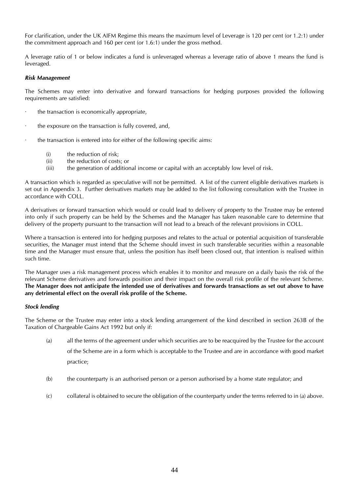For clarification, under the UK AIFM Regime this means the maximum level of Leverage is 120 per cent (or 1.2:1) under the commitment approach and 160 per cent (or 1.6:1) under the gross method.

A leverage ratio of 1 or below indicates a fund is unleveraged whereas a leverage ratio of above 1 means the fund is leveraged.

#### *Risk Management*

The Schemes may enter into derivative and forward transactions for hedging purposes provided the following requirements are satisfied:

- the transaction is economically appropriate,
- · the exposure on the transaction is fully covered, and,
- the transaction is entered into for either of the following specific aims:
	- (i) the reduction of risk;
	- (ii) the reduction of costs; or
	- (iii) the generation of additional income or capital with an acceptably low level of risk.

A transaction which is regarded as speculative will not be permitted. A list of the current eligible derivatives markets is set out in Appendix 3. Further derivatives markets may be added to the list following consultation with the Trustee in accordance with COLL.

A derivatives or forward transaction which would or could lead to delivery of property to the Trustee may be entered into only if such property can be held by the Schemes and the Manager has taken reasonable care to determine that delivery of the property pursuant to the transaction will not lead to a breach of the relevant provisions in COLL.

Where a transaction is entered into for hedging purposes and relates to the actual or potential acquisition of transferable securities, the Manager must intend that the Scheme should invest in such transferable securities within a reasonable time and the Manager must ensure that, unless the position has itself been closed out, that intention is realised within such time.

The Manager uses a risk management process which enables it to monitor and measure on a daily basis the risk of the relevant Scheme derivatives and forwards position and their impact on the overall risk profile of the relevant Scheme. **The Manager does not anticipate the intended use of derivatives and forwards transactions as set out above to have any detrimental effect on the overall risk profile of the Scheme.**

#### *Stock lending*

The Scheme or the Trustee may enter into a stock lending arrangement of the kind described in section 263B of the Taxation of Chargeable Gains Act 1992 but only if:

- (a) all the terms of the agreement under which securities are to be reacquired by the Trustee for the account of the Scheme are in a form which is acceptable to the Trustee and are in accordance with good market practice;
- (b) the counterparty is an authorised person or a person authorised by a home state regulator; and
- (c) collateral is obtained to secure the obligation of the counterparty under the terms referred to in (a) above.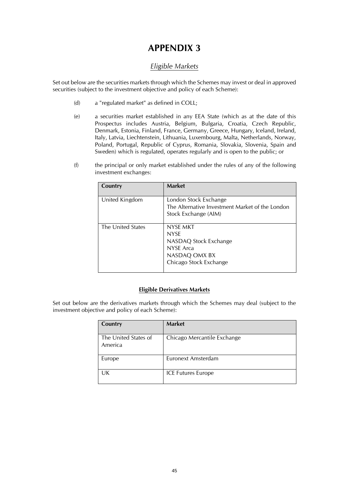## *Eligible Markets*

<span id="page-44-1"></span><span id="page-44-0"></span>Set out below are the securities markets through which the Schemes may invest or deal in approved securities (subject to the investment objective and policy of each Scheme):

- (d) a "regulated market" as defined in COLL;
- (e) a securities market established in any EEA State (which as at the date of this Prospectus includes Austria, Belgium, Bulgaria, Croatia, Czech Republic, Denmark, Estonia, Finland, France, Germany, Greece, Hungary, Iceland, Ireland, Italy, Latvia, Liechtenstein, Lithuania, Luxembourg, Malta, Netherlands, Norway, Poland, Portugal, Republic of Cyprus, Romania, Slovakia, Slovenia, Spain and Sweden) which is regulated, operates regularly and is open to the public; or
- (f) the principal or only market established under the rules of any of the following investment exchanges:

| Country           | <b>Market</b>                                                                                            |
|-------------------|----------------------------------------------------------------------------------------------------------|
| United Kingdom    | London Stock Exchange<br>The Alternative Investment Market of the London<br>Stock Exchange (AIM)         |
| The United States | NYSE MKT<br><b>NYSE</b><br>NASDAQ Stock Exchange<br>NYSE Arca<br>NASDAQ OMX BX<br>Chicago Stock Exchange |

#### **Eligible Derivatives Markets**

Set out below are the derivatives markets through which the Schemes may deal (subject to the investment objective and policy of each Scheme):

| Country                         | <b>Market</b>               |
|---------------------------------|-----------------------------|
| The United States of<br>America | Chicago Mercantile Exchange |
| Europe                          | Euronext Amsterdam          |
| UK                              | <b>ICE Futures Europe</b>   |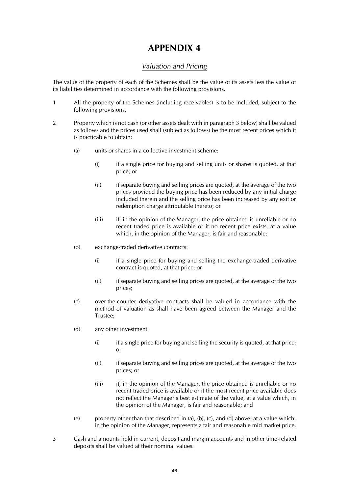## *Valuation and Pricing*

<span id="page-45-1"></span><span id="page-45-0"></span>The value of the property of each of the Schemes shall be the value of its assets less the value of its liabilities determined in accordance with the following provisions.

- 1 All the property of the Schemes (including receivables) is to be included, subject to the following provisions.
- 2 Property which is not cash (or other assets dealt with in paragraph 3 below) shall be valued as follows and the prices used shall (subject as follows) be the most recent prices which it is practicable to obtain:
	- (a) units or shares in a collective investment scheme:
		- (i) if a single price for buying and selling units or shares is quoted, at that price; or
		- (ii) if separate buying and selling prices are quoted, at the average of the two prices provided the buying price has been reduced by any initial charge included therein and the selling price has been increased by any exit or redemption charge attributable thereto; or
		- $(iii)$  if, in the opinion of the Manager, the price obtained is unreliable or no recent traded price is available or if no recent price exists, at a value which, in the opinion of the Manager, is fair and reasonable;
	- (b) exchange-traded derivative contracts:
		- (i) if a single price for buying and selling the exchange-traded derivative contract is quoted, at that price; or
		- (ii) if separate buying and selling prices are quoted, at the average of the two prices;
	- (c) over-the-counter derivative contracts shall be valued in accordance with the method of valuation as shall have been agreed between the Manager and the Trustee;
	- (d) any other investment:
		- $(i)$  if a single price for buying and selling the security is quoted, at that price; or
		- (ii) if separate buying and selling prices are quoted, at the average of the two prices; or
		- (iii) if, in the opinion of the Manager, the price obtained is unreliable or no recent traded price is available or if the most recent price available does not reflect the Manager's best estimate of the value, at a value which, in the opinion of the Manager, is fair and reasonable; and
	- (e) property other than that described in (a), (b), (c), and (d) above: at a value which, in the opinion of the Manager, represents a fair and reasonable mid market price.
- 3 Cash and amounts held in current, deposit and margin accounts and in other time-related deposits shall be valued at their nominal values.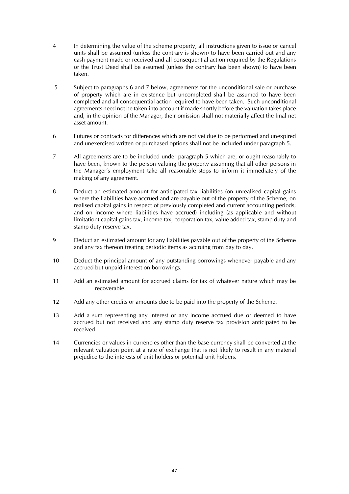- 4 In determining the value of the scheme property, all instructions given to issue or cancel units shall be assumed (unless the contrary is shown) to have been carried out and any cash payment made or received and all consequential action required by the Regulations or the Trust Deed shall be assumed (unless the contrary has been shown) to have been taken.
- 5 Subject to paragraphs 6 and 7 below, agreements for the unconditional sale or purchase of property which are in existence but uncompleted shall be assumed to have been completed and all consequential action required to have been taken. Such unconditional agreements need not be taken into account if made shortly before the valuation takes place and, in the opinion of the Manager, their omission shall not materially affect the final net asset amount.
- 6 Futures or contracts for differences which are not yet due to be performed and unexpired and unexercised written or purchased options shall not be included under paragraph 5.
- 7 All agreements are to be included under paragraph 5 which are, or ought reasonably to have been, known to the person valuing the property assuming that all other persons in the Manager's employment take all reasonable steps to inform it immediately of the making of any agreement.
- 8 Deduct an estimated amount for anticipated tax liabilities (on unrealised capital gains where the liabilities have accrued and are payable out of the property of the Scheme; on realised capital gains in respect of previously completed and current accounting periods; and on income where liabilities have accrued) including (as applicable and without limitation) capital gains tax, income tax, corporation tax, value added tax, stamp duty and stamp duty reserve tax.
- 9 Deduct an estimated amount for any liabilities payable out of the property of the Scheme and any tax thereon treating periodic items as accruing from day to day.
- 10 Deduct the principal amount of any outstanding borrowings whenever payable and any accrued but unpaid interest on borrowings.
- 11 Add an estimated amount for accrued claims for tax of whatever nature which may be recoverable.
- 12 Add any other credits or amounts due to be paid into the property of the Scheme.
- 13 Add a sum representing any interest or any income accrued due or deemed to have accrued but not received and any stamp duty reserve tax provision anticipated to be received.
- 14 Currencies or values in currencies other than the base currency shall be converted at the relevant valuation point at a rate of exchange that is not likely to result in any material prejudice to the interests of unit holders or potential unit holders.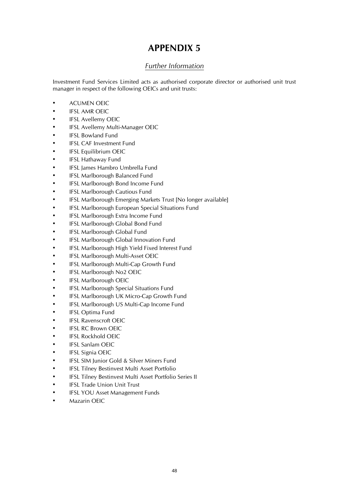## *Further Information*

<span id="page-47-1"></span><span id="page-47-0"></span>Investment Fund Services Limited acts as authorised corporate director or authorised unit trust manager in respect of the following OEICs and unit trusts:

- ACUMEN OEIC
- IFSL AMR OEIC
- IFSL Avellemy OEIC
- IFSL Avellemy Multi-Manager OEIC
- **IFSL Bowland Fund**
- **IFSL CAF Investment Fund**
- **IFSL Equilibrium OEIC**
- IFSL Hathaway Fund
- IFSL James Hambro Umbrella Fund
- IFSL Marlborough Balanced Fund
- IFSL Marlborough Bond Income Fund
- IFSL Marlborough Cautious Fund
- IFSL Marlborough Emerging Markets Trust [No longer available]
- IFSL Marlborough European Special Situations Fund
- IFSL Marlborough Extra Income Fund
- IFSL Marlborough Global Bond Fund
- IFSL Marlborough Global Fund
- IFSL Marlborough Global Innovation Fund
- IFSL Marlborough High Yield Fixed Interest Fund
- IFSL Marlborough Multi-Asset OEIC
- IFSL Marlborough Multi-Cap Growth Fund
- IFSL Marlborough No2 OEIC
- IFSL Marlborough OEIC
- IFSL Marlborough Special Situations Fund
- IFSL Marlborough UK Micro-Cap Growth Fund
- IFSL Marlborough US Multi-Cap Income Fund
- **IFSL Optima Fund**
- **IFSL Ravenscroft OEIC**
- **IFSL RC Brown OEIC**
- **IFSL Rockhold OEIC**
- **IFSL Sanlam OEIC**
- IFSL Signia OEIC
- IFSL SIM Junior Gold & Silver Miners Fund
- IFSL Tilney Bestinvest Multi Asset Portfolio
- IFSL Tilney Bestinvest Multi Asset Portfolio Series II
- **IFSL Trade Union Unit Trust**
- IFSL YOU Asset Management Funds
- Mazarin OEIC